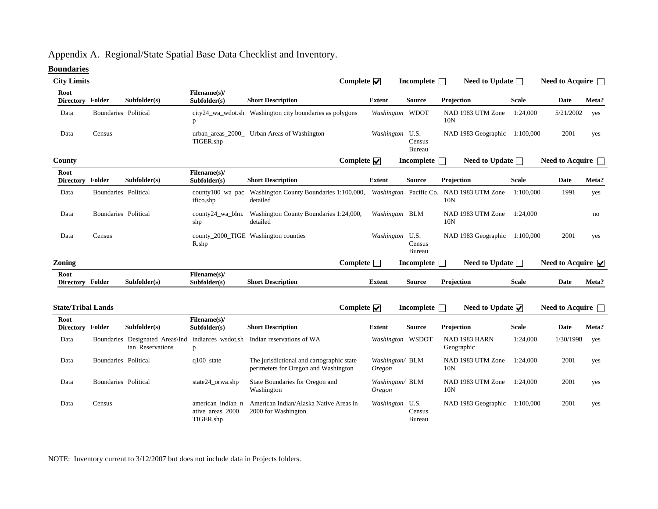# Appendix A. Regional/State Spatial Base Data Checklist and Inventory.

### **Boundaries**

| <b>City Limits</b>        |                      |                                                                        |                                                     |                                                                                   | Complete $\overline{\mathbf{v}}$ |                           | Incomplete <b>name</b> | Need to Update $\Box$                                       |              | Need to Acquire          |       |
|---------------------------|----------------------|------------------------------------------------------------------------|-----------------------------------------------------|-----------------------------------------------------------------------------------|----------------------------------|---------------------------|------------------------|-------------------------------------------------------------|--------------|--------------------------|-------|
| Root<br>Directory Folder  |                      | Subfolder(s)                                                           | Filename(s)/<br>Subfolder(s)                        | <b>Short Description</b>                                                          |                                  | <b>Extent</b>             | <b>Source</b>          | Projection                                                  | <b>Scale</b> | Date                     | Meta? |
| Data                      | Boundaries Political |                                                                        | p                                                   | city24_wa_wdot.sh Washington city boundaries as polygons                          |                                  | Washington WDOT           |                        | NAD 1983 UTM Zone<br>10 <sub>N</sub>                        | 1:24,000     | 5/21/2002                | yes   |
| Data                      | Census               |                                                                        | TIGER.shp                                           | urban_areas_2000_ Urban Areas of Washington                                       |                                  | Washington U.S.           | Census<br>Bureau       | NAD 1983 Geographic 1:100,000                               |              | 2001                     | yes   |
| County                    |                      |                                                                        |                                                     |                                                                                   | Complete $\overline{\mathbf{v}}$ |                           | <b>Incomplete</b>      | Need to Update $\Box$                                       |              | <b>Need to Acquire</b>   |       |
| Root<br>Directory Folder  |                      | Subfolder(s)                                                           | Filename(s)/<br>Subfolder(s)                        | <b>Short Description</b>                                                          |                                  | <b>Extent</b>             | <b>Source</b>          | Projection                                                  | <b>Scale</b> | <b>Date</b>              | Meta? |
| Data                      | Boundaries Political |                                                                        | county100_wa_pac<br>ifico.shp                       | Washington County Boundaries 1:100,000,<br>detailed                               |                                  |                           |                        | Washington Pacific Co. NAD 1983 UTM Zone<br>10 <sub>N</sub> | 1:100,000    | 1991                     | yes   |
| Data                      | Boundaries Political |                                                                        | county24_wa_blm.<br>shp                             | Washington County Boundaries 1:24,000,<br>detailed                                |                                  | Washington BLM            |                        | NAD 1983 UTM Zone<br>10N                                    | 1:24,000     |                          | no    |
| Data                      | Census               |                                                                        | R.shp                                               | county_2000_TIGE Washington counties                                              |                                  | Washington U.S.           | Census<br>Bureau       | NAD 1983 Geographic 1:100,000                               |              | 2001                     | yes   |
| <b>Zoning</b>             |                      |                                                                        |                                                     |                                                                                   | Complete $\Box$                  |                           | Incomplete             | Need to Update $\Box$                                       |              | Need to Acquire $\nabla$ |       |
| Root<br>Directory Folder  |                      | Subfolder(s)                                                           | Filename(s)/<br>Subfolder(s)                        | <b>Short Description</b>                                                          |                                  | <b>Extent</b>             | <b>Source</b>          | Projection                                                  | <b>Scale</b> | <b>Date</b>              | Meta? |
| <b>State/Tribal Lands</b> |                      |                                                                        |                                                     |                                                                                   | Complete $\nabla$                |                           | Incomplete $\Box$      | Need to Update $\overline{\vee}$                            |              | Need to Acquire $\Box$   |       |
| Root<br>Directory Folder  |                      | Subfolder(s)                                                           | Filename(s)/<br>Subfolder(s)                        | <b>Short Description</b>                                                          |                                  | <b>Extent</b>             | <b>Source</b>          | Projection                                                  | <b>Scale</b> | Date                     | Meta? |
| Data                      |                      | Boundaries Designated_Areas\Ind indianres_wsdot.sh<br>ian Reservations | p                                                   | Indian reservations of WA                                                         |                                  | Washington WSDOT          |                        | NAD 1983 HARN<br>Geographic                                 | 1:24,000     | 1/30/1998                | yes   |
| Data                      | Boundaries Political |                                                                        | $q100$ _state                                       | The jurisdictional and cartographic state<br>perimeters for Oregon and Washington |                                  | Washington/ BLM<br>Oregon |                        | NAD 1983 UTM Zone<br>10N                                    | 1:24,000     | 2001                     | yes   |
| Data                      | Boundaries Political |                                                                        | state24_orwa.shp                                    | State Boundaries for Oregon and<br>Washington                                     |                                  | Washington/ BLM<br>Oregon |                        | NAD 1983 UTM Zone<br>10 <sub>N</sub>                        | 1:24.000     | 2001                     | yes   |
| Data                      | Census               |                                                                        | american_indian_n<br>ative_areas_2000_<br>TIGER.shp | American Indian/Alaska Native Areas in<br>2000 for Washington                     |                                  | Washington U.S.           | Census<br>Bureau       | NAD 1983 Geographic 1:100,000                               |              | 2001                     | yes   |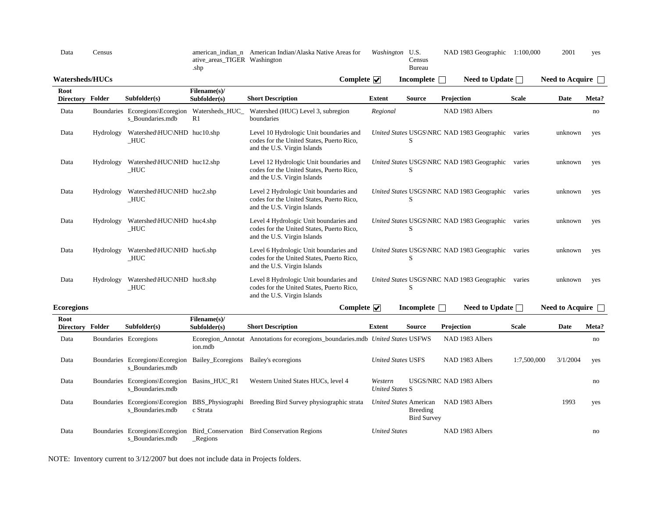| Data                     | Census    |                                                     | american indian n<br>ative_areas_TIGER Washington<br>.shp | American Indian/Alaska Native Areas for                                                                             | Washington U.S. | Census<br><b>Bureau</b> | NAD 1983 Geographic                        | 1:100,000    | 2001            | yes   |
|--------------------------|-----------|-----------------------------------------------------|-----------------------------------------------------------|---------------------------------------------------------------------------------------------------------------------|-----------------|-------------------------|--------------------------------------------|--------------|-----------------|-------|
| <b>Watersheds/HUCs</b>   |           |                                                     |                                                           | Complete $\overline{\mathbf{v}}$                                                                                    |                 | <b>Incomplete</b>       | Need to Update $\Box$                      |              | Need to Acquire |       |
| Root<br><b>Directory</b> | Folder    | Subfolder(s)                                        | Filename(s)/<br>Subfolder(s)                              | <b>Short Description</b>                                                                                            | <b>Extent</b>   | <b>Source</b>           | Projection                                 | <b>Scale</b> | Date            | Meta? |
| Data                     |           | Boundaries Ecoregions\Ecoregion<br>s Boundaries.mdb | Watersheds HUC<br>R <sub>1</sub>                          | Watershed (HUC) Level 3, subregion<br>boundaries                                                                    | Regional        |                         | NAD 1983 Albers                            |              |                 | no    |
| Data                     | Hydrology | Watershed\HUC\NHD huc10.shp<br>HUC                  |                                                           | Level 10 Hydrologic Unit boundaries and<br>codes for the United States, Puerto Rico,<br>and the U.S. Virgin Islands |                 | S                       | United States USGS\NRC NAD 1983 Geographic | varies       | unknown         | yes   |
| Data                     | Hydrology | Watershed\HUC\NHD huc12.shp<br>HUC                  |                                                           | Level 12 Hydrologic Unit boundaries and<br>codes for the United States, Puerto Rico,<br>and the U.S. Virgin Islands |                 | S                       | United States USGS\NRC NAD 1983 Geographic | varies       | unknown         | yes   |
| Data                     | Hydrology | Watershed\HUC\NHD huc2.shp<br>HUC                   |                                                           | Level 2 Hydrologic Unit boundaries and<br>codes for the United States, Puerto Rico,<br>and the U.S. Virgin Islands  |                 | S                       | United States USGS\NRC NAD 1983 Geographic | varies       | unknown         | yes   |
| Data                     | Hydrology | Watershed\HUC\NHD huc4.shp<br>HUC                   |                                                           | Level 4 Hydrologic Unit boundaries and<br>codes for the United States, Puerto Rico,<br>and the U.S. Virgin Islands  |                 | S                       | United States USGS\NRC NAD 1983 Geographic | varies       | unknown         | yes   |
| Data                     | Hydrology | Watershed\HUC\NHD huc6.shp<br>HUC                   |                                                           | Level 6 Hydrologic Unit boundaries and<br>codes for the United States, Puerto Rico,<br>and the U.S. Virgin Islands  |                 | S                       | United States USGS\NRC NAD 1983 Geographic | varies       | unknown         | yes   |
| Data                     | Hydrology | Watershed\HUC\NHD huc8.shp<br>HUC                   |                                                           | Level 8 Hydrologic Unit boundaries and<br>codes for the United States, Puerto Rico,<br>and the U.S. Virgin Islands  |                 | S                       | United States USGS\NRC NAD 1983 Geographic | varies       | unknown         | yes   |

| <b>Ecoregions</b>        |        |                                                                   |                                         | Complete $\nabla$                                                               |                                   | <b>Incomplete</b>                                        | Need to Update $\Box$    |              | <b>Need to Acquire</b> |       |
|--------------------------|--------|-------------------------------------------------------------------|-----------------------------------------|---------------------------------------------------------------------------------|-----------------------------------|----------------------------------------------------------|--------------------------|--------------|------------------------|-------|
| Root<br><b>Directory</b> | Folder | Subfolder(s)                                                      | Filename(s)/<br>Subfolder(s)            | <b>Short Description</b>                                                        | Extent                            | <b>Source</b>                                            | Projection               | <b>Scale</b> | Date                   | Meta? |
| Data                     |        | Boundaries Ecoregions                                             | ion.mdb                                 | Ecoregion_Annotat Annotations for ecoregions_boundaries.mdb United States USFWS |                                   |                                                          | NAD 1983 Albers          |              |                        | no    |
| Data                     |        | Boundaries Ecoregions Ecoregion<br>s Boundaries.mdb               | Bailey_Ecoregions                       | Bailey's ecoregions                                                             |                                   | <b>United States USFS</b>                                | NAD 1983 Albers          | 1:7.500,000  | 3/1/2004               | yes   |
| Data                     |        | Boundaries Ecoregions Ecoregion Basins_HUC_R1<br>s Boundaries.mdb |                                         | Western United States HUCs, level 4                                             | Western<br><b>United States S</b> |                                                          | USGS/NRC NAD 1983 Albers |              |                        | no    |
| Data                     |        | Boundaries Ecoregions Ecoregion<br>s Boundaries.mdb               | BBS_Physiographi<br>c Strata            | Breeding Bird Survey physiographic strata                                       |                                   | United States American<br>Breeding<br><b>Bird Survey</b> | NAD 1983 Albers          |              | 1993                   | yes   |
| Data                     |        | Boundaries Ecoregions Ecoregion<br>s Boundaries.mdb               | Bird Conservation<br>$\mathsf{Regions}$ | <b>Bird Conservation Regions</b>                                                | <b>United States</b>              |                                                          | NAD 1983 Albers          |              |                        | no    |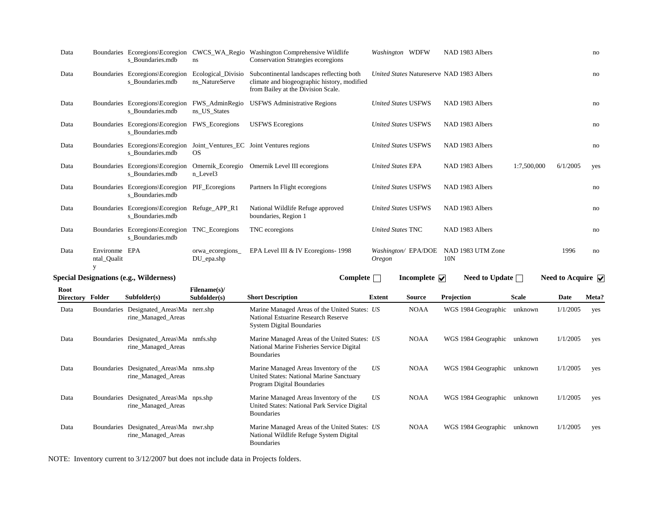| Data             |                                   | s_Boundaries.mdb                                                   | ns                                   | Boundaries Ecoregions\Ecoregion CWCS_WA_Regio Washington Comprehensive Wildlife<br><b>Conservation Strategies ecoregions</b>   | Washington WDFW            |                                    | NAD 1983 Albers                           |              |                                      | no        |
|------------------|-----------------------------------|--------------------------------------------------------------------|--------------------------------------|--------------------------------------------------------------------------------------------------------------------------------|----------------------------|------------------------------------|-------------------------------------------|--------------|--------------------------------------|-----------|
| Data             |                                   | Boundaries Ecoregions Ecoregion<br>s Boundaries.mdb                | Ecological_Divisio<br>ns NatureServe | Subcontinental landscapes reflecting both<br>climate and biogeographic history, modified<br>from Bailey at the Division Scale. |                            |                                    | United States Natureserve NAD 1983 Albers |              |                                      | no        |
| Data             |                                   | Boundaries Ecoregions Ecoregion<br>s_Boundaries.mdb                | FWS_AdminRegio<br>ns_US_States       | <b>USFWS</b> Administrative Regions                                                                                            | <b>United States USFWS</b> |                                    | NAD 1983 Albers                           |              |                                      | no        |
| Data             |                                   | Boundaries Ecoregions\Ecoregion FWS_Ecoregions<br>s Boundaries.mdb |                                      | <b>USFWS</b> Ecoregions                                                                                                        | <b>United States USFWS</b> |                                    | NAD 1983 Albers                           |              |                                      | no        |
| Data             |                                   | s Boundaries.mdb                                                   | <b>OS</b>                            | Boundaries Ecoregions\Ecoregion Joint_Ventures_EC Joint Ventures regions                                                       | <b>United States USFWS</b> |                                    | NAD 1983 Albers                           |              |                                      | no        |
| Data             |                                   | Boundaries Ecoregions\Ecoregion<br>s_Boundaries.mdb                | Omernik_Ecoregio<br>n_Level3         | Omernik Level III ecoregions                                                                                                   | <b>United States EPA</b>   |                                    | NAD 1983 Albers                           | 1:7,500,000  | 6/1/2005                             | yes       |
| Data             |                                   | Boundaries Ecoregions\Ecoregion PIF_Ecoregions<br>s Boundaries.mdb |                                      | Partners In Flight ecoregions                                                                                                  | <b>United States USFWS</b> |                                    | NAD 1983 Albers                           |              |                                      | no        |
| Data             |                                   | Boundaries Ecoregions\Ecoregion Refuge_APP_R1<br>s Boundaries.mdb  |                                      | National Wildlife Refuge approved<br>boundaries, Region 1                                                                      | <b>United States USFWS</b> |                                    | NAD 1983 Albers                           |              |                                      | no        |
| Data             |                                   | Boundaries Ecoregions\Ecoregion TNC_Ecoregions<br>s Boundaries.mdb |                                      | TNC ecoregions                                                                                                                 | <b>United States TNC</b>   |                                    | NAD 1983 Albers                           |              |                                      | no        |
| Data             | Environme EPA<br>ntal_Qualit<br>y |                                                                    | orwa_ecoregions_<br>$DU$ epa.shp     | EPA Level III & IV Ecoregions- 1998                                                                                            | <i><b>Oregon</b></i>       | Washington/ EPA/DOE                | NAD 1983 UTM Zone<br>10N                  |              | 1996                                 | $\rm{no}$ |
|                  |                                   | <b>Special Designations (e.g., Wilderness)</b>                     |                                      | Complete $\Box$                                                                                                                |                            | Incomplete $\overline{\mathbf{v}}$ | Need to Update $\Box$                     |              | Need to Acquire $\sqrt{\phantom{a}}$ |           |
| Root             |                                   |                                                                    | Filename(s)/                         |                                                                                                                                |                            |                                    |                                           |              |                                      |           |
| Directory Folder |                                   | Subfolder(s)                                                       | Subfolder(s)                         | <b>Short Description</b>                                                                                                       | <b>Extent</b>              | <b>Source</b>                      | Projection                                | <b>Scale</b> | Date                                 | Meta?     |
| Data             |                                   | Boundaries Designated_Areas\Ma nerr.shp<br>rine_Managed_Areas      |                                      | Marine Managed Areas of the United States: US<br>National Estuarine Research Reserve<br><b>System Digital Boundaries</b>       |                            | <b>NOAA</b>                        | WGS 1984 Geographic                       | unknown      | 1/1/2005                             | yes       |
| Data             |                                   | Boundaries Designated_Areas\Ma nmfs.shp<br>rine_Managed_Areas      |                                      | Marine Managed Areas of the United States: US<br>National Marine Fisheries Service Digital<br><b>Boundaries</b>                |                            | <b>NOAA</b>                        | WGS 1984 Geographic                       | unknown      | 1/1/2005                             | yes       |
| Data             |                                   | Boundaries Designated_Areas\Ma nms.shp<br>rine_Managed_Areas       |                                      | Marine Managed Areas Inventory of the<br>United States: National Marine Sanctuary<br>Program Digital Boundaries                | US                         | <b>NOAA</b>                        | WGS 1984 Geographic                       | unknown      | 1/1/2005                             | yes       |
| Data             |                                   | Boundaries Designated_Areas\Ma nps.shp<br>rine_Managed_Areas       |                                      | Marine Managed Areas Inventory of the<br>United States: National Park Service Digital<br><b>Boundaries</b>                     | US                         | <b>NOAA</b>                        | WGS 1984 Geographic                       | unknown      | 1/1/2005                             | yes       |
| Data             |                                   | Boundaries Designated_Areas\Ma nwr.shp<br>rine_Managed_Areas       |                                      | Marine Managed Areas of the United States: US<br>National Wildlife Refuge System Digital<br><b>Boundaries</b>                  |                            | <b>NOAA</b>                        | WGS 1984 Geographic                       | unknown      | 1/1/2005                             | yes       |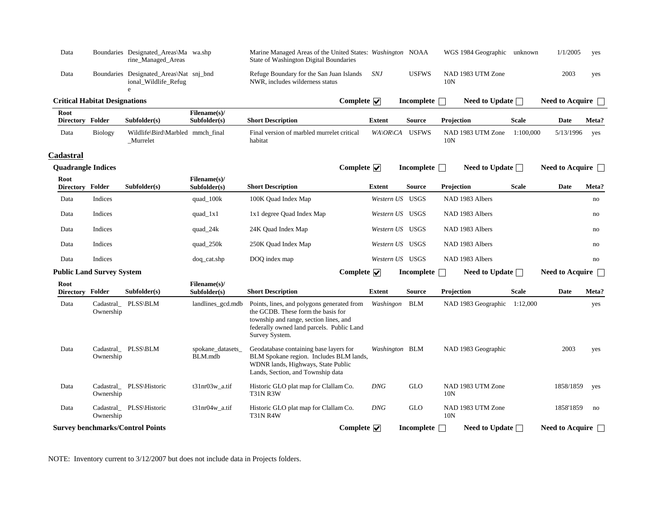| Data | Boundaries Designated_Areas\Ma wa.shp<br>rine_Managed_Areas     | Marine Managed Areas of the United States: Washington NOAA<br>State of Washington Digital Boundaries |     |       | WGS 1984 Geographic unknown | 1/1/2005 | ves |
|------|-----------------------------------------------------------------|------------------------------------------------------------------------------------------------------|-----|-------|-----------------------------|----------|-----|
| Data | Boundaries Designated_Areas\Nat snj_bnd<br>ional_Wildlife_Refug | Refuge Boundary for the San Juan Islands<br>NWR, includes wilderness status                          | SNJ | USFWS | NAD 1983 UTM Zone<br>10N    | 2003     | yes |

| <b>Critical Habitat Designations</b> |         |                                               |                              |                                                       | Complete $\sqrt{}$               | Incomplete        | Need to Update $\Box$    |              | Need to Acquire             |       |
|--------------------------------------|---------|-----------------------------------------------|------------------------------|-------------------------------------------------------|----------------------------------|-------------------|--------------------------|--------------|-----------------------------|-------|
| Root<br>Directory Folder             |         | Subfolder(s)                                  | Filename(s)/<br>Subfolder(s) | <b>Short Description</b>                              | Extent                           | Source            | Projection               | <b>Scale</b> | Date                        | Meta? |
| Data                                 | Biology | Wildlife\Bird\Marbled mmch_final<br>_Murrelet |                              | Final version of marbled murrelet critical<br>habitat | $WA\setminus OR\setminus CA$     | <b>USFWS</b>      | NAD 1983 UTM Zone<br>10N | 1:100,000    | 5/13/1996                   | yes   |
| Cadastral                            |         |                                               |                              |                                                       |                                  |                   |                          |              |                             |       |
| <b>Quadrangle Indices</b>            |         |                                               |                              |                                                       | Complete $\overline{\mathbf{v}}$ | Incomplete $\Box$ | Need to Update $\Box$    |              | Need to Acquire $\Box$      |       |
| Root<br><b>Directory</b>             | Folder  | Subfolder(s)                                  | Filename(s)/<br>Subfolder(s) | <b>Short Description</b>                              | Extent                           | <b>Source</b>     | Projection               | <b>Scale</b> | Date                        | Meta? |
| Data                                 | Indices |                                               | quad_100k                    | 100K Quad Index Map                                   | Western US                       | USGS              | NAD 1983 Albers          |              |                             | no    |
| Data                                 | Indices |                                               | quad_ $1x1$                  | 1x1 degree Quad Index Map                             |                                  | Western US USGS   | NAD 1983 Albers          |              |                             | no    |
| Data                                 | Indices |                                               | quad_24k                     | 24K Quad Index Map                                    |                                  | Western US USGS   | NAD 1983 Albers          |              |                             | no    |
| Data                                 | Indices |                                               | quad_250k                    | 250K Quad Index Map                                   |                                  | Western US USGS   | NAD 1983 Albers          |              |                             | no    |
| Data                                 | Indices |                                               | doq_cat.shp                  | DOQ index map                                         |                                  | Western US USGS   | NAD 1983 Albers          |              |                             | no    |
| <b>Public Land Survey System</b>     |         |                                               |                              |                                                       | Complete $\overline{\mathbf{v}}$ | <b>Incomplete</b> | Need to Update $\Box$    |              | Need to Acquire $\ \cdot\ $ |       |
| Root                                 |         |                                               | Filename(s)/                 |                                                       |                                  |                   |                          |              |                             |       |

| <b>Directory</b> | Folder    | Subfolder(s)                            | Subfolder(s)                 | <b>Short Description</b>                                                                                                                                                                  | <b>Extent</b>  | <b>Source</b> | Projection                           | <b>Scale</b> | Date                   | Meta? |
|------------------|-----------|-----------------------------------------|------------------------------|-------------------------------------------------------------------------------------------------------------------------------------------------------------------------------------------|----------------|---------------|--------------------------------------|--------------|------------------------|-------|
| Data             | Ownership | Cadastral PLSS\BLM                      | landlines_gcd.mdb            | Points, lines, and polygons generated from<br>the GCDB. These form the basis for<br>township and range, section lines, and<br>federally owned land parcels. Public Land<br>Survey System. | Washingon      | BLM           | NAD 1983 Geographic                  | 1:12,000     |                        | yes   |
| Data             | Ownership | Cadastral PLSS\BLM                      | spokane_datasets_<br>BLM.mdb | Geodatabase containing base layers for<br>BLM Spokane region. Includes BLM lands,<br>WDNR lands, Highways, State Public<br>Lands, Section, and Township data                              | Washington BLM |               | NAD 1983 Geographic                  |              | 2003                   | yes   |
| Data             | Ownership | Cadastral PLSS\Historic                 | $t31nr03w$ a.tif             | Historic GLO plat map for Clallam Co.<br><b>T31N R3W</b>                                                                                                                                  | <b>DNG</b>     | <b>GLO</b>    | NAD 1983 UTM Zone<br>10 <sub>N</sub> |              | 1858/1859              | yes   |
| Data             | Ownership | Cadastral PLSS\Historic                 | $t31nr04w$ a.tif             | Historic GLO plat map for Clallam Co.<br>T31N R4W                                                                                                                                         | <b>DNG</b>     | <b>GLO</b>    | NAD 1983 UTM Zone<br>10N             |              | 1858'1859              | no    |
|                  |           | <b>Survey benchmarks/Control Points</b> |                              | Complete $\overline{\mathbf{v}}$                                                                                                                                                          |                | Incomplete    | Need to Update $\Box$                |              | <b>Need to Acquire</b> |       |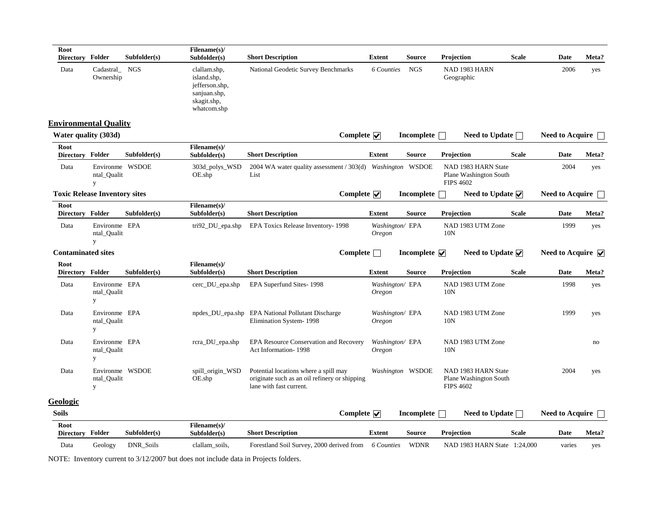| Root<br><b>Directory Folder</b> |                                      | Subfolder(s) | Filename(s)/<br>Subfolder(s)                                                                | <b>Short Description</b>                                                                                          | Extent                           | <b>Source</b>                      | Projection                                                        | <b>Scale</b> | Date                            | Meta? |
|---------------------------------|--------------------------------------|--------------|---------------------------------------------------------------------------------------------|-------------------------------------------------------------------------------------------------------------------|----------------------------------|------------------------------------|-------------------------------------------------------------------|--------------|---------------------------------|-------|
| Data                            | Cadastral<br>Ownership               | NGS          | clallam.shp,<br>island.shp,<br>jefferson.shp,<br>sanjuan.shp,<br>skagit.shp,<br>whatcom.shp | National Geodetic Survey Benchmarks                                                                               | 6 Counties                       | <b>NGS</b>                         | NAD 1983 HARN<br>Geographic                                       |              | 2006                            | yes   |
| <b>Environmental Quality</b>    |                                      |              |                                                                                             |                                                                                                                   |                                  |                                    |                                                                   |              |                                 |       |
| Water quality (303d)            |                                      |              |                                                                                             | Complete $\overline{\mathbf{v}}$                                                                                  |                                  | Incomplete                         | Need to Update $\Box$                                             |              | <b>Need to Acquire</b>          |       |
| Root<br>Directory Folder        |                                      | Subfolder(s) | Filename(s)/<br>Subfolder(s)                                                                | <b>Short Description</b>                                                                                          | <b>Extent</b>                    | <b>Source</b>                      | Projection                                                        | <b>Scale</b> | Date                            | Meta? |
| Data                            | Environme WSDOE<br>ntal_Qualit<br>y  |              | 303d_polys_WSD<br>OE.shp                                                                    | 2004 WA water quality assessment / 303(d) Washington WSDOE<br>List                                                |                                  |                                    | NAD 1983 HARN State<br>Plane Washington South<br><b>FIPS 4602</b> |              | 2004                            | yes   |
|                                 | <b>Toxic Release Inventory sites</b> |              |                                                                                             | Complete $\overline{\mathbf{v}}$                                                                                  |                                  | Incomplete $\Box$                  | Need to Update $\overline{\mathbf{v}}$                            |              | <b>Need to Acquire</b>          |       |
| Root<br>Directory Folder        |                                      | Subfolder(s) | Filename(s)/<br>Subfolder(s)                                                                | <b>Short Description</b>                                                                                          | <b>Extent</b>                    | <b>Source</b>                      | Projection                                                        | <b>Scale</b> | Date                            | Meta? |
| Data                            | Environme EPA<br>ntal Qualit<br>y    |              | $tri92$ _DU_epa.shp                                                                         | EPA Toxics Release Inventory-1998                                                                                 | Washington/ EPA<br>Oregon        |                                    | NAD 1983 UTM Zone<br>10N                                          |              | 1999                            | yes   |
| <b>Contaminated sites</b>       |                                      |              |                                                                                             | Complete $\Box$                                                                                                   |                                  | Incomplete $\overline{\mathbf{v}}$ | Need to Update $\sqrt{}$                                          |              | Need to Acquire $\triangledown$ |       |
| Root<br>Directory Folder        |                                      | Subfolder(s) | Filename(s)/<br>Subfolder(s)                                                                | <b>Short Description</b>                                                                                          | <b>Extent</b>                    | <b>Source</b>                      | Projection                                                        | <b>Scale</b> | Date                            | Meta? |
| Data                            | Environme EPA<br>ntal_Qualit<br>y    |              | cerc_DU_epa.shp                                                                             | EPA Superfund Sites-1998                                                                                          | Washington/ EPA<br><b>Oregon</b> |                                    | NAD 1983 UTM Zone<br>10N                                          |              | 1998                            | yes   |
| Data                            | Environme EPA<br>ntal Qualit<br>y    |              | npdes_DU_epa.shp                                                                            | <b>EPA National Pollutant Discharge</b><br>Elimination System-1998                                                | Washington/EPA<br><b>Oregon</b>  |                                    | NAD 1983 UTM Zone<br>10N                                          |              | 1999                            | yes   |
| Data                            | Environme EPA<br>ntal_Qualit<br>y    |              | rcra_DU_epa.shp                                                                             | EPA Resource Conservation and Recovery<br>Act Information-1998                                                    | Washington/ EPA<br><b>Oregon</b> |                                    | NAD 1983 UTM Zone<br>10N                                          |              |                                 | no    |
| Data                            | Environme WSDOE<br>ntal_Qualit<br>y  |              | spill_origin_WSD<br>OE.shp                                                                  | Potential locations where a spill may<br>originate such as an oil refinery or shipping<br>lane with fast current. |                                  | Washington WSDOE                   | NAD 1983 HARN State<br>Plane Washington South<br><b>FIPS 4602</b> |              | 2004                            | yes   |
| Geologic                        |                                      |              |                                                                                             |                                                                                                                   |                                  |                                    |                                                                   |              |                                 |       |
| <b>Soils</b>                    |                                      |              |                                                                                             | Complete $\nabla$                                                                                                 |                                  | Incomplete $\Box$                  | Need to Update $\Box$                                             |              | <b>Need to Acquire</b>          |       |
| Root<br>Directory Folder        |                                      | Subfolder(s) | Filename(s)/                                                                                |                                                                                                                   |                                  |                                    |                                                                   |              |                                 | Meta? |
|                                 |                                      |              | Subfolder(s)                                                                                | <b>Short Description</b>                                                                                          | <b>Extent</b>                    | <b>Source</b>                      | Projection                                                        | <b>Scale</b> | Date                            |       |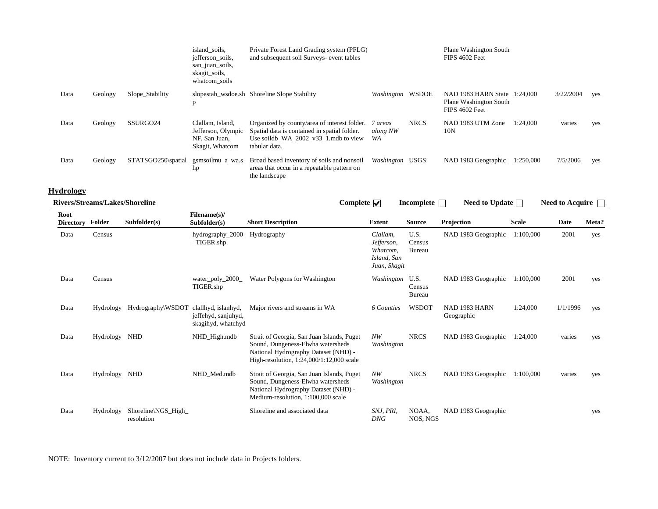|      |         |                      | island soils,<br>jefferson soils,<br>san_juan_soils,<br>skagit_soils,<br>whatcom soils | Private Forest Land Grading system (PFLG)<br>and subsequent soil Surveys- event tables                                                                  |                           |             | Plane Washington South<br>FIPS 4602 Feet                                 |           |           |     |
|------|---------|----------------------|----------------------------------------------------------------------------------------|---------------------------------------------------------------------------------------------------------------------------------------------------------|---------------------------|-------------|--------------------------------------------------------------------------|-----------|-----------|-----|
| Data | Geology | Slope_Stability      | p                                                                                      | slopestab wsdoe.sh Shoreline Slope Stability                                                                                                            | Washington WSDOE          |             | NAD 1983 HARN State 1:24,000<br>Plane Washington South<br>FIPS 4602 Feet |           | 3/22/2004 | yes |
| Data | Geology | SSURGO <sub>24</sub> | Clallam, Island,<br>Jefferson, Olympic<br>NF, San Juan,<br>Skagit, Whatcom             | Organized by county/area of interest folder.<br>Spatial data is contained in spatial folder.<br>Use soildb WA $2002$ v33 1.mdb to view<br>tabular data. | 7 areas<br>along NW<br>WA | <b>NRCS</b> | NAD 1983 UTM Zone<br>10N                                                 | 1:24.000  | varies    | yes |
| Data | Geology | STATSGO250\spatial   | gsmsoilmu_a_wa.s<br>hp                                                                 | Broad based inventory of soils and nonsoil<br>areas that occur in a repeatable pattern on<br>the landscape                                              | Washington USGS           |             | NAD 1983 Geographic                                                      | 1:250,000 | 7/5/2006  | yes |

# **Hydrology**

| Hydrology                      |               |                                  |                                                                  |                                                                                                                                                                       |                                                                   |                          |                             |              |                 |       |
|--------------------------------|---------------|----------------------------------|------------------------------------------------------------------|-----------------------------------------------------------------------------------------------------------------------------------------------------------------------|-------------------------------------------------------------------|--------------------------|-----------------------------|--------------|-----------------|-------|
| Rivers/Streams/Lakes/Shoreline |               |                                  |                                                                  | Complete $\overline{\mathbf{v}}$                                                                                                                                      |                                                                   | Incomplete $\Box$        | Need to Update $\Box$       |              | Need to Acquire |       |
| Root<br><b>Directory</b>       | Folder        | Subfolder(s)                     | Filename(s)/<br>Subfolder(s)                                     | <b>Short Description</b>                                                                                                                                              | <b>Extent</b>                                                     | <b>Source</b>            | Projection                  | <b>Scale</b> | Date            | Meta? |
| Data                           | Census        |                                  | hydrography_2000<br>$_TIGER.shp$                                 | Hydrography                                                                                                                                                           | Clallam,<br>Jefferson,<br>Whatcom,<br>Island, San<br>Juan, Skagit | U.S.<br>Census<br>Bureau | NAD 1983 Geographic         | 1:100.000    | 2001            | yes   |
| Data                           | Census        |                                  | water_poly_2000_<br>TIGER.shp                                    | Water Polygons for Washington                                                                                                                                         | Washington U.S.                                                   | Census<br>Bureau         | NAD 1983 Geographic         | 1:100.000    | 2001            | yes   |
| Data                           | Hydrology     | Hydrography\WSDOT                | clallhyd, islanhyd,<br>jeffehyd, sanjuhyd,<br>skagihyd, whatchyd | Major rivers and streams in WA                                                                                                                                        | 6 Counties                                                        | <b>WSDOT</b>             | NAD 1983 HARN<br>Geographic | 1:24.000     | 1/1/1996        | yes   |
| Data                           | Hydrology NHD |                                  | NHD_High.mdb                                                     | Strait of Georgia, San Juan Islands, Puget<br>Sound, Dungeness-Elwha watersheds<br>National Hydrography Dataset (NHD) -<br>High-resolution, $1:24,000/1:12,000$ scale | NW<br>Washington                                                  | <b>NRCS</b>              | NAD 1983 Geographic         | 1:24,000     | varies          | yes   |
| Data                           | Hydrology NHD |                                  | NHD Med.mdb                                                      | Strait of Georgia, San Juan Islands, Puget<br>Sound, Dungeness-Elwha watersheds<br>National Hydrography Dataset (NHD) -<br>Medium-resolution, 1:100,000 scale         | NW<br>Washington                                                  | <b>NRCS</b>              | NAD 1983 Geographic         | 1:100,000    | varies          | yes   |
| Data                           | Hydrology     | Shoreline\NGS High<br>resolution |                                                                  | Shoreline and associated data                                                                                                                                         | SNJ, PRI,<br><b>DNG</b>                                           | NOAA,<br>NOS, NGS        | NAD 1983 Geographic         |              |                 | yes   |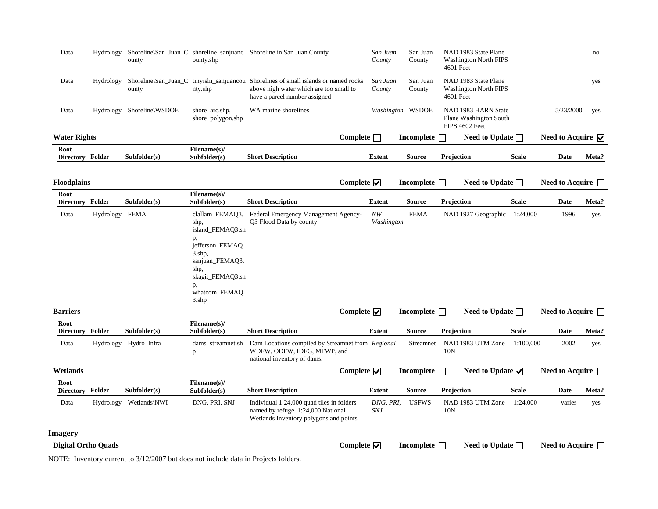| Data                       |                | ounty                     | ounty.shp                                                                                      | Hydrology Shoreline\San_Juan_C shoreline_sanjuanc Shoreline in San Juan County                                                                                 |                                  | San Juan<br>County      | San Juan<br>County | NAD 1983 State Plane<br><b>Washington North FIPS</b><br>4601 Feet |              |                                         | no    |
|----------------------------|----------------|---------------------------|------------------------------------------------------------------------------------------------|----------------------------------------------------------------------------------------------------------------------------------------------------------------|----------------------------------|-------------------------|--------------------|-------------------------------------------------------------------|--------------|-----------------------------------------|-------|
| Data                       | Hydrology      | ounty                     | nty.shp                                                                                        | Shoreline San Juan C tinyish sanjuancou Shorelines of small islands or named rocks<br>above high water which are too small to<br>have a parcel number assigned |                                  | San Juan<br>County      | San Juan<br>County | NAD 1983 State Plane<br><b>Washington North FIPS</b><br>4601 Feet |              |                                         | yes   |
| Data                       |                | Hydrology Shoreline\WSDOE | shore_arc.shp,<br>shore_polygon.shp                                                            | WA marine shorelines                                                                                                                                           |                                  |                         | Washington WSDOE   | NAD 1983 HARN State<br>Plane Washington South<br>FIPS 4602 Feet   |              | 5/23/2000                               | yes   |
| <b>Water Rights</b>        |                |                           |                                                                                                |                                                                                                                                                                | Complete                         |                         | <b>Incomplete</b>  | Need to Update $\Box$                                             |              | Need to Acquire $\overline{\mathbf{v}}$ |       |
| Root<br>Directory Folder   |                | Subfolder(s)              | Filename(s)/<br>Subfolder(s)                                                                   | <b>Short Description</b>                                                                                                                                       |                                  | <b>Extent</b>           | <b>Source</b>      | Projection                                                        | <b>Scale</b> | Date                                    | Meta? |
| <b>Floodplains</b>         |                |                           |                                                                                                |                                                                                                                                                                | Complete $\overline{\mathbf{v}}$ |                         | Incomplete $\Box$  | Need to Update $\Box$                                             |              | <b>Need to Acquire</b>                  |       |
| Root<br>Directory Folder   |                | Subfolder(s)              | Filename(s)/<br>Subfolder(s)                                                                   | <b>Short Description</b>                                                                                                                                       |                                  | <b>Extent</b>           | <b>Source</b>      | Projection                                                        | <b>Scale</b> | <b>Date</b>                             | Meta? |
| Data                       | Hydrology FEMA |                           | shp,<br>island_FEMAQ3.sh                                                                       | clallam_FEMAQ3. Federal Emergency Management Agency-<br>Q3 Flood Data by county                                                                                |                                  | NW<br>Washington        | <b>FEMA</b>        | NAD 1927 Geographic 1:24,000                                      |              | 1996                                    | yes   |
|                            |                |                           | p,<br>jefferson_FEMAQ<br>$3.\text{shp}$ ,<br>sanjuan_FEMAQ3.<br>shp,<br>skagit_FEMAQ3.sh<br>p, |                                                                                                                                                                |                                  |                         |                    |                                                                   |              |                                         |       |
|                            |                |                           | whatcom_FEMAQ<br>3.shp                                                                         |                                                                                                                                                                |                                  |                         |                    |                                                                   |              |                                         |       |
| <b>Barriers</b>            |                |                           |                                                                                                |                                                                                                                                                                | Complete $\overline{\mathbf{v}}$ |                         | Incomplete $\Box$  | Need to Update $\Box$                                             |              | Need to Acquire and                     |       |
| Root<br><b>Directory</b>   | Folder         | Subfolder(s)              | Filename(s)/<br>Subfolder(s)                                                                   | <b>Short Description</b>                                                                                                                                       |                                  | <b>Extent</b>           | <b>Source</b>      | Projection                                                        | <b>Scale</b> | <b>Date</b>                             | Meta? |
| Data                       |                | Hydrology Hydro_Infra     | dams_streamnet.sh<br>p                                                                         | Dam Locations compiled by Streamnet from Regional<br>WDFW, ODFW, IDFG, MFWP, and<br>national inventory of dams.                                                |                                  |                         | Streamnet          | NAD 1983 UTM Zone<br>10N                                          | 1:100,000    | 2002                                    | yes   |
| Wetlands                   |                |                           |                                                                                                |                                                                                                                                                                | Complete $\overline{\mathbf{v}}$ |                         | Incomplete $\Box$  | Need to Update $\sqrt{}$                                          |              | Need to Acquire                         |       |
| Root<br>Directory Folder   |                | Subfolder(s)              | Filename(s)/<br>Subfolder(s)                                                                   | <b>Short Description</b>                                                                                                                                       |                                  | <b>Extent</b>           | <b>Source</b>      | Projection                                                        | <b>Scale</b> | Date                                    | Meta? |
| Data                       | Hydrology      | Wetlands\NWI              | DNG, PRI, SNJ                                                                                  | Individual 1:24,000 quad tiles in folders<br>named by refuge. 1:24,000 National<br>Wetlands Inventory polygons and points                                      |                                  | DNG, PRI,<br><b>SNJ</b> | <b>USFWS</b>       | NAD 1983 UTM Zone<br>10N                                          | 1:24,000     | varies                                  | yes   |
| <b>Imagery</b>             |                |                           |                                                                                                |                                                                                                                                                                |                                  |                         |                    |                                                                   |              |                                         |       |
| <b>Digital Ortho Quads</b> |                |                           |                                                                                                |                                                                                                                                                                | Complete $\overline{\mathbf{v}}$ |                         | Incomplete         | Need to Update $\Box$                                             |              | <b>Need to Acquire</b>                  |       |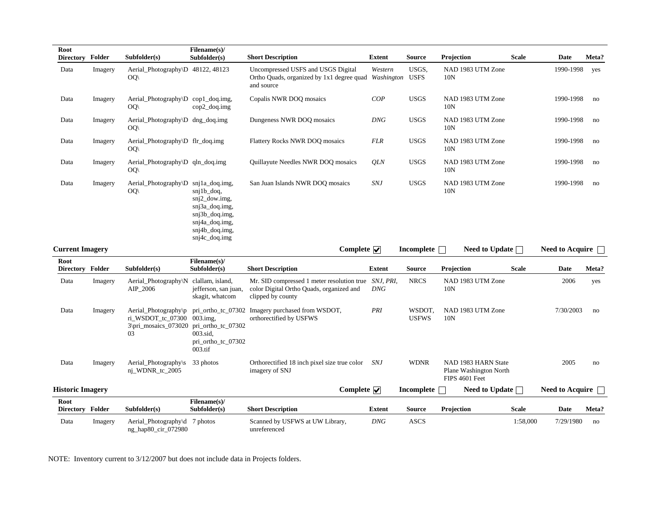| Root<br>Directory Folder |         | Subfolder(s)                                                            | Filename(s)/<br>Subfolder(s)                                                                                               | <b>Short Description</b>                                                                                              | <b>Extent</b> | <b>Source</b>          | Projection                                                      | <b>Scale</b> | Date                   | Meta? |
|--------------------------|---------|-------------------------------------------------------------------------|----------------------------------------------------------------------------------------------------------------------------|-----------------------------------------------------------------------------------------------------------------------|---------------|------------------------|-----------------------------------------------------------------|--------------|------------------------|-------|
| Data                     | Imagery | Aerial_Photography\D 48122, 48123<br>OQ                                 |                                                                                                                            | Uncompressed USFS and USGS Digital<br>Ortho Quads, organized by 1x1 degree quad Washington USFS<br>and source         | Western       | USGS,                  | NAD 1983 UTM Zone<br>10N                                        |              | 1990-1998              | yes   |
| Data                     | Imagery | Aerial_Photography $\D$ cop1_doq.img,<br>OQ                             | $cop2_dog.$ img                                                                                                            | Copalis NWR DOQ mosaics                                                                                               | COP           | <b>USGS</b>            | NAD 1983 UTM Zone<br>10N                                        |              | 1990-1998              | no    |
| Data                     | Imagery | Aerial_Photography $\D$ dng_doq.img<br>OQ(                              |                                                                                                                            | Dungeness NWR DOQ mosaics                                                                                             | <b>DNG</b>    | <b>USGS</b>            | NAD 1983 UTM Zone<br>10 <sub>N</sub>                            |              | 1990-1998              | no    |
| Data                     | Imagery | Aerial_Photography\D flr_doq.img<br>OQ(                                 |                                                                                                                            | Flattery Rocks NWR DOQ mosaics                                                                                        | <b>FLR</b>    | <b>USGS</b>            | NAD 1983 UTM Zone<br>10N                                        |              | 1990-1998              | no    |
| Data                     | Imagery | Aerial_Photography\D qln_doq.img<br>OQ(                                 |                                                                                                                            | Quillayute Needles NWR DOQ mosaics                                                                                    | <b>OLN</b>    | <b>USGS</b>            | NAD 1983 UTM Zone<br>10N                                        |              | 1990-1998              | no    |
| Data                     | Imagery | Aerial_Photography\D snj1a_doq.img,<br>OQ                               | $snj1b\_dog$ ,<br>sni2 dow.img.<br>snj3a_doq.img,<br>snj3b_doq.img,<br>snj4a_doq.img,<br>$snj4b_doqimg$<br>$snj4c_doq,img$ | San Juan Islands NWR DOQ mosaics                                                                                      | <b>SNJ</b>    | <b>USGS</b>            | NAD 1983 UTM Zone<br>10N                                        |              | 1990-1998              | no    |
| <b>Current Imagery</b>   |         |                                                                         |                                                                                                                            | Complete $\overline{\mathbf{v}}$                                                                                      |               | Incomplete $\Box$      | Need to Update $\Box$                                           |              | Need to Acquire $\Box$ |       |
| Root<br>Directory Folder |         | Subfolder(s)                                                            | Filename(s)/<br>Subfolder(s)                                                                                               | <b>Short Description</b>                                                                                              | <b>Extent</b> | <b>Source</b>          | Projection                                                      | <b>Scale</b> | Date                   | Meta? |
| Data                     | Imagery | Aerial_Photography\N clallam, island,<br>AIP_2006                       | jefferson, san juan,<br>skagit, whatcom                                                                                    | Mr. SID compressed 1 meter resolution true SNJ, PRI,<br>color Digital Ortho Quads, organized and<br>clipped by county | <b>DNG</b>    | <b>NRCS</b>            | NAD 1983 UTM Zone<br>10N                                        |              | 2006                   | yes   |
| Data                     | Imagery | Aerial_Photography\p<br>ri WSDOT tc 07300<br>3\pri_mosaics_073020<br>03 | $003$ .img.<br>pri_ortho_tc_07302<br>003.sid.<br>pri_ortho_tc_07302<br>$003$ .tif                                          | pri_ortho_tc_07302 Imagery purchased from WSDOT,<br>orthorectified by USFWS                                           | PRI           | WSDOT,<br><b>USFWS</b> | NAD 1983 UTM Zone<br>10N                                        |              | 7/30/2003              | no    |
| Data                     | Imagery | Aerial_Photography\s 33 photos<br>nj_WDNR_tc_2005                       |                                                                                                                            | Orthorectified 18 inch pixel size true color SNJ<br>imagery of SNJ                                                    |               | <b>WDNR</b>            | NAD 1983 HARN State<br>Plane Washington North<br>FIPS 4601 Feet |              | 2005                   | no    |
| <b>Historic Imagery</b>  |         |                                                                         |                                                                                                                            | Complete $\overline{\mathbf{v}}$                                                                                      |               | Incomplete $\Box$      | Need to Update $\Box$                                           |              | Need to Acquire $\Box$ |       |
| Root<br>Directory Folder |         | Subfolder(s)                                                            | Filename(s)/<br>Subfolder(s)                                                                                               | <b>Short Description</b>                                                                                              | <b>Extent</b> | <b>Source</b>          | Projection                                                      | <b>Scale</b> | Date                   | Meta? |
| Data                     | Imagery | Aerial_Photography\d 7 photos<br>ng_hap80_cir_072980                    |                                                                                                                            | Scanned by USFWS at UW Library,<br>unreferenced                                                                       | <b>DNG</b>    | <b>ASCS</b>            |                                                                 | 1:58,000     | 7/29/1980              | no    |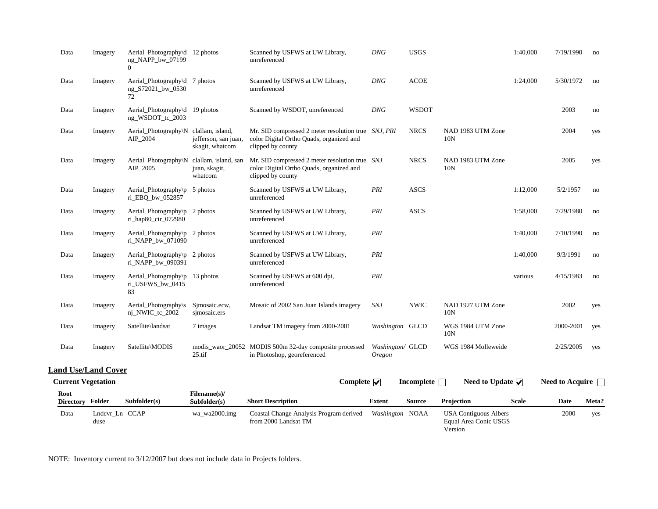| Data                       | Imagery | Aerial_Photography\d 12 photos<br>ng_NAPP_bw_07199<br>$\Omega$          |                                         | Scanned by USFWS at UW Library,<br>unreferenced                                                                      | <b>DNG</b>                   | <b>USGS</b>  |                                  | 1:40,000 | 7/19/1990      | no  |
|----------------------------|---------|-------------------------------------------------------------------------|-----------------------------------------|----------------------------------------------------------------------------------------------------------------------|------------------------------|--------------|----------------------------------|----------|----------------|-----|
| Data                       | Imagery | Aerial_Photography\d 7 photos<br>ng_S72021_bw_0530<br>72.               |                                         | Scanned by USFWS at UW Library,<br>unreferenced                                                                      | <b>DNG</b>                   | <b>ACOE</b>  |                                  | 1:24,000 | 5/30/1972      | no  |
| Data                       | Imagery | Aerial_Photography\d 19 photos<br>ng_WSDOT_tc_2003                      |                                         | Scanned by WSDOT, unreferenced                                                                                       | <b>DNG</b>                   | <b>WSDOT</b> |                                  |          | 2003           | no  |
| Data                       | Imagery | Aerial_Photography\N clallam, island,<br>AIP_2004                       | jefferson, san juan,<br>skagit, whatcom | Mr. SID compressed 2 meter resolution true SNJ, PRI<br>color Digital Ortho Quads, organized and<br>clipped by county |                              | <b>NRCS</b>  | NAD 1983 UTM Zone<br>10N         |          | 2004           | yes |
| Data                       | Imagery | Aerial_Photography\N clallam, island, san<br>AIP_2005                   | juan, skagit,<br>whatcom                | Mr. SID compressed 2 meter resolution true SNJ<br>color Digital Ortho Quads, organized and<br>clipped by county      |                              | <b>NRCS</b>  | NAD 1983 UTM Zone<br>10N         |          | 2005           | yes |
| Data                       | Imagery | Aerial_Photography\p 5 photos<br>ri_EBQ_bw_052857                       |                                         | Scanned by USFWS at UW Library,<br>unreferenced                                                                      | PRI                          | <b>ASCS</b>  |                                  | 1:12,000 | 5/2/1957       | no  |
| Data                       | Imagery | Aerial_Photography\p 2 photos<br>ri_hap80_cir_072980                    |                                         | Scanned by USFWS at UW Library,<br>unreferenced                                                                      | PRI                          | <b>ASCS</b>  |                                  | 1:58,000 | 7/29/1980      | no  |
| Data                       | Imagery | Aerial_Photography\p 2 photos<br>ri_NAPP_bw_071090                      |                                         | Scanned by USFWS at UW Library,<br>unreferenced                                                                      | PRI                          |              |                                  | 1:40,000 | 7/10/1990      | no  |
| Data                       | Imagery | Aerial_Photography $\pmb{\triangleright}$ 2 photos<br>ri_NAPP_bw_090391 |                                         | Scanned by USFWS at UW Library,<br>unreferenced                                                                      | PRI                          |              |                                  | 1:40,000 | 9/3/1991       | no  |
| Data                       | Imagery | Aerial_Photography\p 13 photos<br>ri_USFWS_bw_0415<br>83                |                                         | Scanned by USFWS at 600 dpi,<br>unreferenced                                                                         | PRI                          |              |                                  | various  | 4/15/1983      | no  |
| Data                       | Imagery | Aerial_Photography\s<br>nj_NWIC_tc_2002                                 | Simosaic.ecw,<br>simosaic.ers           | Mosaic of 2002 San Juan Islands imagery                                                                              | <b>SNJ</b>                   | <b>NWIC</b>  | NAD 1927 UTM Zone<br>10N         |          | 2002           | yes |
| Data                       | Imagery | Satellite\landsat                                                       | 7 images                                | Landsat TM imagery from 2000-2001                                                                                    | Washington GLCD              |              | WGS 1984 UTM Zone<br>10N         |          | 2000-2001      | yes |
| Data                       | Imagery | Satellite\MODIS                                                         | 25.tif                                  | modis_waor_20052 MODIS 500m 32-day composite processed<br>in Photoshop, georeferenced                                | Washington/ GLCD<br>Oregon   |              | WGS 1984 Molleweide              |          | 2/25/2005      | yes |
| <b>Land Use/Land Cover</b> |         |                                                                         |                                         |                                                                                                                      |                              |              |                                  |          |                |     |
| Current Vegetation         |         |                                                                         |                                         |                                                                                                                      | $Complato$ Incomplate $\Box$ |              | $N$ ood to Undoto $\blacksquare$ |          | Need to Agains |     |

|                          | Current vegetation     |              | ∪ompiete  ✔                  |                                                                 |                 | incomplete<br>Need to Update $ v $ |                                                           |              | Need to Acquire |       |  |
|--------------------------|------------------------|--------------|------------------------------|-----------------------------------------------------------------|-----------------|------------------------------------|-----------------------------------------------------------|--------------|-----------------|-------|--|
| Root<br><b>Directory</b> | Folder                 | Subfolder(s) | Filename(s)/<br>Subfolder(s) | <b>Short Description</b>                                        | <b>Extent</b>   | Source                             | Projection                                                | <b>Scale</b> | Date            | Meta? |  |
| Data                     | Lndcvr Ln CCAP<br>duse |              | wa wa2000.img                | Coastal Change Analysis Program derived<br>from 2000 Landsat TM | Washington NOAA |                                    | USA Contiguous Albers<br>Equal Area Conic USGS<br>Version |              | 2000            | yes   |  |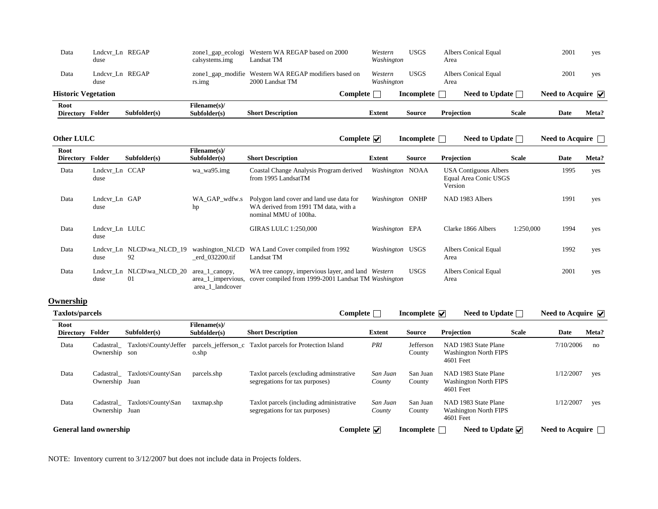| Data                       | Lndcvr Ln REGAP<br>duse |              | zone1_gap_ecologi<br>calsystems.img | Western WA REGAP based on 2000<br>Landsat TM                             |               | Western<br>Washington | <b>USGS</b> | Albers Conical Equal<br>Area |              | 2001                                    | ves   |
|----------------------------|-------------------------|--------------|-------------------------------------|--------------------------------------------------------------------------|---------------|-----------------------|-------------|------------------------------|--------------|-----------------------------------------|-------|
| Data                       | Lndcvr Ln REGAP<br>duse |              | rs.img                              | zone1_gap_modifie Western WA REGAP modifiers based on<br>2000 Landsat TM |               | Western<br>Washington | <b>USGS</b> | Albers Conical Equal<br>Area |              | 2001                                    | yes   |
| <b>Historic Vegetation</b> |                         |              |                                     |                                                                          | Complete      |                       | Incomplete  | Need to Update $\lceil$      |              | Need to Acquire $\overline{\mathbf{v}}$ |       |
| Root<br><b>Directory</b>   | Folder                  | Subfolder(s) | Filename(s)/<br>Subfolder(s)        | <b>Short Description</b>                                                 | <b>Extent</b> |                       | Source      | Projection                   | <b>Scale</b> | Date                                    | Meta? |

**Complete Incomplete Need to Update Need to Acquire Need to Acquire** 

| Root<br><b>Directory</b> | Folder                 | Subfolder(s)                    | <b>Filename(s)/</b><br>Subfolder(s)                      | <b>Short Description</b>                                                                                  | Extent          | Source      | Projection                                                       | <b>Scale</b> | Date | Meta? |
|--------------------------|------------------------|---------------------------------|----------------------------------------------------------|-----------------------------------------------------------------------------------------------------------|-----------------|-------------|------------------------------------------------------------------|--------------|------|-------|
| Data                     | Lndcvr_Ln CCAP<br>duse |                                 | wa wa95.img                                              | Coastal Change Analysis Program derived<br>from 1995 LandsatTM                                            | Washington NOAA |             | <b>USA Contiguous Albers</b><br>Equal Area Conic USGS<br>Version |              | 1995 | yes   |
| Data                     | Lndcvr Ln GAP<br>duse  |                                 | WA GAP wdfw.s<br>hp                                      | Polygon land cover and land use data for<br>WA derived from 1991 TM data, with a<br>nominal MMU of 100ha. | Washington ONHP |             | NAD 1983 Albers                                                  |              | 1991 | yes   |
| Data                     | Lndcvr_Ln LULC<br>duse |                                 |                                                          | <b>GIRAS LULC 1:250,000</b>                                                                               | Washington EPA  |             | Clarke 1866 Albers                                               | 1:250,000    | 1994 | yes   |
| Data                     | duse                   | Lndcvr Ln NLCD\wa NLCD 19<br>92 | washington NLCD<br>erd 032200.tif                        | WA Land Cover compiled from 1992<br>Landsat TM                                                            | Washington USGS |             | Albers Conical Equal<br>Area                                     |              | 1992 | yes   |
| Data                     | duse                   | Lndcvr_Ln NLCD\wa_NLCD_20<br>01 | area_1_canopy,<br>area_1_impervious,<br>area_1_landcover | WA tree canopy, impervious layer, and land Western<br>cover compiled from 1999-2001 Landsat TM Washington |                 | <b>USGS</b> | Albers Conical Equal<br>Area                                     |              | 2001 | yes   |

### **Ownership**

| Taxlots/parcels               |                             |                                 |                              | <b>Complete</b>                                                            |                    | Incomplete $\overline{\mathbf{v}}$ | Need to Update                                                    |              | Need to Acquire $\blacktriangledown$ |       |
|-------------------------------|-----------------------------|---------------------------------|------------------------------|----------------------------------------------------------------------------|--------------------|------------------------------------|-------------------------------------------------------------------|--------------|--------------------------------------|-------|
| Root<br><b>Directory</b>      | Folder                      | Subfolder(s)                    | Filename(s)/<br>Subfolder(s) | <b>Short Description</b>                                                   | <b>Extent</b>      | <b>Source</b>                      | Projection                                                        | <b>Scale</b> | Date                                 | Meta? |
| Data                          | Ownership son               | Cadastral Taxlots\County\Jeffer | o.shp                        | parcels jefferson c Taxlot parcels for Protection Island                   | PRI                | Jefferson<br>County                | NAD 1983 State Plane<br><b>Washington North FIPS</b><br>4601 Feet |              | 7/10/2006                            | no    |
| Data                          | Cadastral<br>Ownership Juan | Taxlots\County\San              | parcels.shp                  | Taxlot parcels (excluding adminitrative)<br>segregations for tax purposes) | San Juan<br>County | San Juan<br>County                 | NAD 1983 State Plane<br><b>Washington North FIPS</b><br>4601 Feet |              | 1/12/2007                            | yes   |
| Data                          | Ownership Juan              | Cadastral Taxlots\County\San    | taxmap.shp                   | Taxlot parcels (including administrative<br>segregations for tax purposes) | San Juan<br>County | San Juan<br>County                 | NAD 1983 State Plane<br><b>Washington North FIPS</b><br>4601 Feet |              | 1/12/2007                            | yes   |
| <b>General land ownership</b> |                             |                                 |                              | Complete $\overline{\mathbf{v}}$                                           |                    | Incomplete                         | Need to Update $\overline{\mathbf{v}}$                            |              | Need to Acquire $\Box$               |       |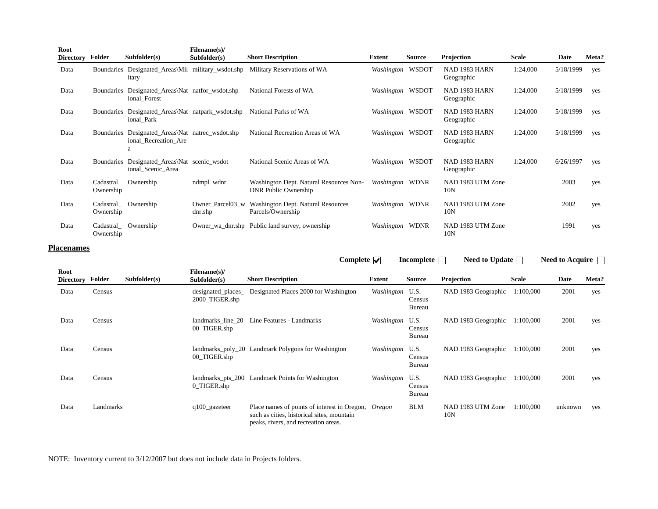| Root<br><b>Directory</b> | Folder                 | Subfolder(s)                                                                  | Filename(s)/<br>Subfolder(s) | <b>Short Description</b>                                        | Extent           | <b>Source</b> | Projection                           | <b>Scale</b> | Date      | Meta? |
|--------------------------|------------------------|-------------------------------------------------------------------------------|------------------------------|-----------------------------------------------------------------|------------------|---------------|--------------------------------------|--------------|-----------|-------|
| Data                     |                        | Boundaries Designated_Areas\Mil military_wsdot.shp<br>itary                   |                              | Military Reservations of WA                                     | Washington WSDOT |               | NAD 1983 HARN<br>Geographic          | 1:24,000     | 5/18/1999 | yes   |
| Data                     |                        | Boundaries Designated_Areas\Nat natfor_wsdot.shp<br>ional_Forest              |                              | National Forests of WA                                          | Washington WSDOT |               | NAD 1983 HARN<br>Geographic          | 1:24,000     | 5/18/1999 | yes   |
| Data                     |                        | Boundaries Designated_Areas\Nat natpark_wsdot.shp<br>ional_Park               |                              | National Parks of WA                                            | Washington       | WSDOT         | NAD 1983 HARN<br>Geographic          | 1:24,000     | 5/18/1999 | yes   |
| Data                     |                        | Boundaries Designated_Areas\Nat natrec_wsdot.shp<br>ional_Recreation_Are<br>a |                              | National Recreation Areas of WA                                 | Washington WSDOT |               | NAD 1983 HARN<br>Geographic          | 1:24,000     | 5/18/1999 | yes   |
| Data                     |                        | Boundaries Designated_Areas\Nat scenic_wsdot<br>ional_Scenic_Area             |                              | National Scenic Areas of WA                                     | Washington WSDOT |               | NAD 1983 HARN<br>Geographic          | 1:24,000     | 6/26/1997 | yes   |
| Data                     | Cadastral<br>Ownership | Ownership                                                                     | ndmpl_wdnr                   | Washington Dept. Natural Resources Non-<br>DNR Public Ownership | Washington WDNR  |               | NAD 1983 UTM Zone<br>10N             |              | 2003      | yes   |
| Data                     | Cadastral<br>Ownership | Ownership                                                                     | Owner Parcel03 w<br>dnr.shp  | <b>Washington Dept. Natural Resources</b><br>Parcels/Ownership  | Washington WDNR  |               | NAD 1983 UTM Zone<br>10N             |              | 2002      | yes   |
| Data                     | Cadastral<br>Ownership | Ownership                                                                     |                              | Owner_wa_dnr.shp Public land survey, ownership                  | Washington WDNR  |               | NAD 1983 UTM Zone<br>10 <sub>N</sub> |              | 1991      | yes   |

#### **Placenames**

|                          |           |              |                                      | Complete $\overline{\mathbf{v}}$                                                                                                   |                 | Incomplete                      | Need to Update $\Box$    |              | Need to Acquire $\Box$ |       |
|--------------------------|-----------|--------------|--------------------------------------|------------------------------------------------------------------------------------------------------------------------------------|-----------------|---------------------------------|--------------------------|--------------|------------------------|-------|
| Root<br><b>Directory</b> | Folder    | Subfolder(s) | Filename(s)/<br>Subfolder(s)         | <b>Short Description</b>                                                                                                           | <b>Extent</b>   | <b>Source</b>                   | Projection               | <b>Scale</b> | Date                   | Meta? |
| Data                     | Census    |              | designated_places_<br>2000_TIGER.shp | Designated Places 2000 for Washington                                                                                              | Washington U.S. | Census<br>Bureau                | NAD 1983 Geographic      | 1:100,000    | 2001                   | yes   |
| Data                     | Census    |              | landmarks line 20<br>00 TIGER.shp    | Line Features - Landmarks                                                                                                          | Washington      | U.S.<br>Census<br>Bureau        | NAD 1983 Geographic      | 1:100,000    | 2001                   | yes   |
| Data                     | Census    |              | 00 TIGER.shp                         | landmarks_poly_20 Landmark Polygons for Washington                                                                                 | Washington U.S. | Census<br>Bureau                | NAD 1983 Geographic      | 1:100,000    | 2001                   | yes   |
| Data                     | Census    |              | 0_TIGER.shp                          | landmarks_pts_200 Landmark Points for Washington                                                                                   | Washington      | U.S.<br>Census<br><b>Bureau</b> | NAD 1983 Geographic      | 1:100,000    | 2001                   | yes   |
| Data                     | Landmarks |              | $q100$ _gazeteer                     | Place names of points of interest in Oregon,<br>such as cities, historical sites, mountain<br>peaks, rivers, and recreation areas. | Oregon          | <b>BLM</b>                      | NAD 1983 UTM Zone<br>10N | 1:100.000    | unknown                | yes   |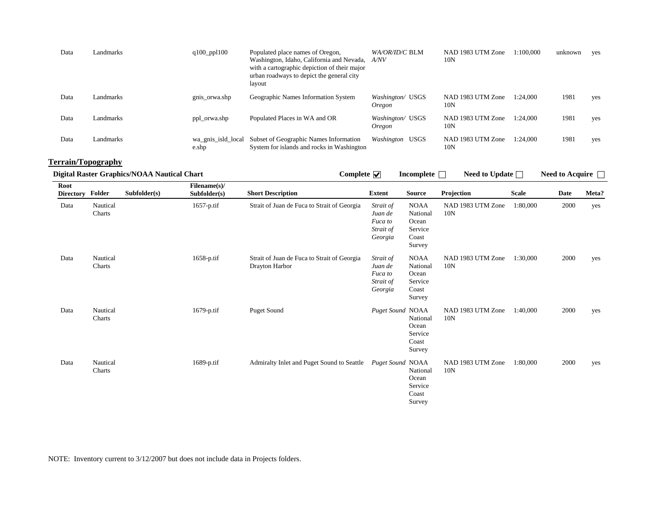| Data | Landmarks | $q100$ ppl $100$            | Populated place names of Oregon,<br>Washington, Idaho, California and Nevada, A/NV<br>with a cartographic depiction of their major<br>urban roadways to depict the general city<br>layout | WA/OR/ID/C BLM             | NAD 1983 UTM Zone<br>10N             | 1:100.000 | unknown | yes |
|------|-----------|-----------------------------|-------------------------------------------------------------------------------------------------------------------------------------------------------------------------------------------|----------------------------|--------------------------------------|-----------|---------|-----|
| Data | Landmarks | gnis_orwa.shp               | Geographic Names Information System                                                                                                                                                       | Washington/ USGS<br>Oregon | NAD 1983 UTM Zone<br>10 <sub>N</sub> | 1:24.000  | 1981    | yes |
| Data | Landmarks | ppl_orwa.shp                | Populated Places in WA and OR                                                                                                                                                             | Washington/ USGS<br>Oregon | NAD 1983 UTM Zone<br>10N             | 1:24.000  | 1981    | yes |
| Data | Landmarks | wa gnis isld local<br>e.shp | Subset of Geographic Names Information<br>System for islands and rocks in Washington                                                                                                      | Washington USGS            | NAD 1983 UTM Zone<br>10N             | 1:24.000  | 1981    | yes |

# **Terrain/Topography**

|                          | <b>Digital Raster Graphics/NOAA Nautical Chart</b><br>Subfolder(s)<br>Folder<br>Nautical<br>Charts<br>Nautical<br>$1658$ -p.tif<br>Charts |  |                              | Complete $\overline{\mathbf{v}}$                              |                                                         | Incomplete                                                     | Need to Update $\Box$    |              | Need to Acquire $\Box$ |       |
|--------------------------|-------------------------------------------------------------------------------------------------------------------------------------------|--|------------------------------|---------------------------------------------------------------|---------------------------------------------------------|----------------------------------------------------------------|--------------------------|--------------|------------------------|-------|
| Root<br><b>Directory</b> |                                                                                                                                           |  | Filename(s)/<br>Subfolder(s) | <b>Short Description</b>                                      | <b>Extent</b>                                           | <b>Source</b>                                                  | Projection               | <b>Scale</b> | Date                   | Meta? |
| Data                     |                                                                                                                                           |  | 1657-p.tif                   | Strait of Juan de Fuca to Strait of Georgia                   | Strait of<br>Juan de<br>Fuca to<br>Strait of<br>Georgia | <b>NOAA</b><br>National<br>Ocean<br>Service<br>Coast<br>Survey | NAD 1983 UTM Zone<br>10N | 1:80,000     | 2000                   | yes   |
| Data                     |                                                                                                                                           |  |                              | Strait of Juan de Fuca to Strait of Georgia<br>Drayton Harbor | Strait of<br>Juan de<br>Fuca to<br>Strait of<br>Georgia | <b>NOAA</b><br>National<br>Ocean<br>Service<br>Coast<br>Survey | NAD 1983 UTM Zone<br>10N | 1:30,000     | 2000                   | yes   |
| Data                     | Nautical<br>Charts                                                                                                                        |  | 1679-p.tif                   | Puget Sound                                                   | Puget Sound NOAA                                        | National<br>Ocean<br>Service<br>Coast<br>Survey                | NAD 1983 UTM Zone<br>10N | 1:40,000     | 2000                   | yes   |
| Data                     | Nautical<br>Charts                                                                                                                        |  | $1689$ -p.tif                | Admiralty Inlet and Puget Sound to Seattle Puget Sound NOAA   |                                                         | National<br>Ocean<br>Service<br>Coast<br>Survey                | NAD 1983 UTM Zone<br>10N | 1:80,000     | 2000                   | yes   |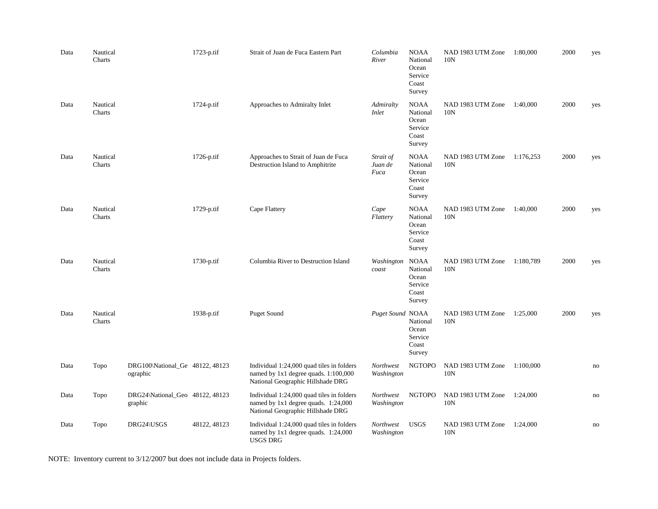| Data | Nautical<br>Charts |                                             | 1723-p.tif   | Strait of Juan de Fuca Eastern Part                                                                                    | Columbia<br>River            | <b>NOAA</b><br>National<br>Ocean<br>Service<br>Coast<br>Survey | NAD 1983 UTM Zone<br>10N | 1:80,000  | 2000 | yes |
|------|--------------------|---------------------------------------------|--------------|------------------------------------------------------------------------------------------------------------------------|------------------------------|----------------------------------------------------------------|--------------------------|-----------|------|-----|
| Data | Nautical<br>Charts |                                             | $1724-p.tif$ | Approaches to Admiralty Inlet                                                                                          | Admiralty<br><i>Inlet</i>    | <b>NOAA</b><br>National<br>Ocean<br>Service<br>Coast<br>Survey | NAD 1983 UTM Zone<br>10N | 1:40,000  | 2000 | yes |
| Data | Nautical<br>Charts |                                             | 1726-p.tif   | Approaches to Strait of Juan de Fuca<br>Destruction Island to Amphitrite                                               | Strait of<br>Juan de<br>Fuca | <b>NOAA</b><br>National<br>Ocean<br>Service<br>Coast<br>Survey | NAD 1983 UTM Zone<br>10N | 1:176,253 | 2000 | yes |
| Data | Nautical<br>Charts |                                             | 1729-p.tif   | Cape Flattery                                                                                                          | Cape<br>Flattery             | <b>NOAA</b><br>National<br>Ocean<br>Service<br>Coast<br>Survey | NAD 1983 UTM Zone<br>10N | 1:40,000  | 2000 | yes |
| Data | Nautical<br>Charts |                                             | 1730-p.tif   | Columbia River to Destruction Island                                                                                   | Washington<br>coast          | <b>NOAA</b><br>National<br>Ocean<br>Service<br>Coast<br>Survey | NAD 1983 UTM Zone<br>10N | 1:180,789 | 2000 | yes |
| Data | Nautical<br>Charts |                                             | 1938-p.tif   | <b>Puget Sound</b>                                                                                                     | Puget Sound NOAA             | National<br>Ocean<br>Service<br>Coast<br>Survey                | NAD 1983 UTM Zone<br>10N | 1:25,000  | 2000 | yes |
| Data | Topo               | DRG100\National_Ge 48122, 48123<br>ographic |              | Individual 1:24,000 quad tiles in folders<br>named by 1x1 degree quads. 1:100,000<br>National Geographic Hillshade DRG | Northwest<br>Washington      | <b>NGTOPO</b>                                                  | NAD 1983 UTM Zone<br>10N | 1:100,000 |      | no  |
| Data | Topo               | DRG24\National_Geo 48122, 48123<br>graphic  |              | Individual 1:24,000 quad tiles in folders<br>named by 1x1 degree quads. 1:24,000<br>National Geographic Hillshade DRG  | Northwest<br>Washington      | <b>NGTOPO</b>                                                  | NAD 1983 UTM Zone<br>10N | 1:24,000  |      | no  |
| Data | Topo               | DRG24\USGS                                  | 48122, 48123 | Individual 1:24,000 quad tiles in folders<br>named by $1x1$ degree quads. $1:24,000$<br>USGS DRG                       | Northwest<br>Washington      | <b>USGS</b>                                                    | NAD 1983 UTM Zone<br>10N | 1:24,000  |      | no  |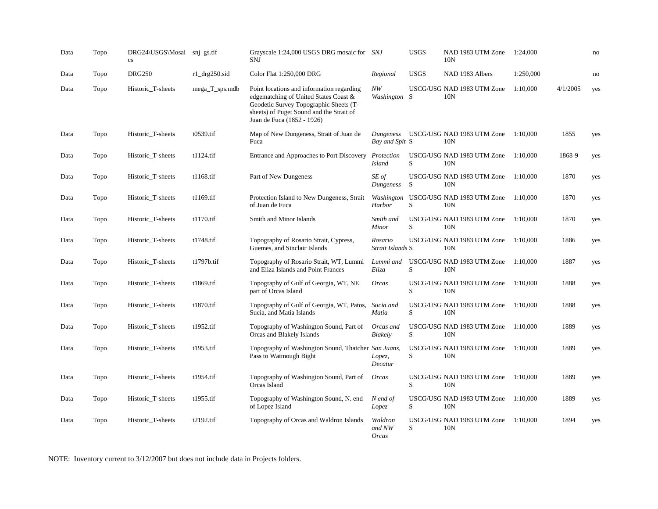| Data | Topo | DRG24\USGS\Mosai snj_gs.tif<br>$\mathbf{c}\mathbf{s}$ |                  | Grayscale 1:24,000 USGS DRG mosaic for SNJ<br><b>SNJ</b>                                                                                                                                               |                                   | <b>USGS</b> | NAD 1983 UTM Zone<br>10N                      | 1:24,000  |          | no  |
|------|------|-------------------------------------------------------|------------------|--------------------------------------------------------------------------------------------------------------------------------------------------------------------------------------------------------|-----------------------------------|-------------|-----------------------------------------------|-----------|----------|-----|
| Data | Topo | <b>DRG250</b>                                         | $r1$ _drg250.sid | Color Flat 1:250,000 DRG                                                                                                                                                                               | Regional                          | <b>USGS</b> | NAD 1983 Albers                               | 1:250,000 |          | no  |
| Data | Topo | Historic_T-sheets                                     | mega_T_sps.mdb   | Point locations and information regarding<br>edgematching of United States Coast &<br>Geodetic Survey Topographic Sheets (T-<br>sheets) of Puget Sound and the Strait of<br>Juan de Fuca (1852 - 1926) | NW<br>Washington S                |             | USCG/USG NAD 1983 UTM Zone<br>10N             | 1:10,000  | 4/1/2005 | yes |
| Data | Topo | Historic_T-sheets                                     | t0539.tif        | Map of New Dungeness, Strait of Juan de<br>Fuca                                                                                                                                                        | Dungeness<br>Bay and Spit S       |             | USCG/USG NAD 1983 UTM Zone<br>10 <sub>N</sub> | 1:10.000  | 1855     | yes |
| Data | Topo | Historic_T-sheets                                     | t1124.tif        | Entrance and Approaches to Port Discovery                                                                                                                                                              | Protection<br><b>Island</b>       | S           | USCG/USG NAD 1983 UTM Zone<br>10N             | 1:10,000  | 1868-9   | yes |
| Data | Topo | Historic T-sheets                                     | $t1168$ .tif     | Part of New Dungeness                                                                                                                                                                                  | SE of<br>Dungeness                | S           | USCG/USG NAD 1983 UTM Zone<br>10N             | 1:10.000  | 1870     | yes |
| Data | Topo | Historic_T-sheets                                     | t1169.tif        | Protection Island to New Dungeness, Strait<br>of Juan de Fuca                                                                                                                                          | Harbor                            | S           | Washington USCG/USG NAD 1983 UTM Zone<br>10N  | 1:10,000  | 1870     | yes |
| Data | Topo | Historic_T-sheets                                     | t1170.tif        | Smith and Minor Islands                                                                                                                                                                                | Smith and<br>Minor                | S           | USCG/USG NAD 1983 UTM Zone<br>10N             | 1:10.000  | 1870     | yes |
| Data | Topo | Historic_T-sheets                                     | t1748.tif        | Topography of Rosario Strait, Cypress,<br>Guemes, and Sinclair Islands                                                                                                                                 | Rosario<br>Strait Islands S       |             | USCG/USG NAD 1983 UTM Zone<br>10N             | 1:10,000  | 1886     | yes |
| Data | Topo | Historic_T-sheets                                     | t1797b.tif       | Topography of Rosario Strait, WT, Lummi<br>and Eliza Islands and Point Frances                                                                                                                         | Lummi and<br>Eliza                | S           | USCG/USG NAD 1983 UTM Zone<br>10N             | 1:10,000  | 1887     | yes |
| Data | Topo | Historic_T-sheets                                     | t1869.tif        | Topography of Gulf of Georgia, WT, NE<br>part of Orcas Island                                                                                                                                          | <b>Orcas</b>                      | S           | USCG/USG NAD 1983 UTM Zone<br>10 <sub>N</sub> | 1:10.000  | 1888     | yes |
| Data | Topo | Historic_T-sheets                                     | t1870.tif        | Topography of Gulf of Georgia, WT, Patos, Sucia and<br>Sucia, and Matia Islands                                                                                                                        | Matia                             | S           | USCG/USG NAD 1983 UTM Zone<br>10N             | 1:10,000  | 1888     | yes |
| Data | Topo | Historic_T-sheets                                     | t1952.tif        | Topography of Washington Sound, Part of<br>Orcas and Blakely Islands                                                                                                                                   | Orcas and<br><b>Blakely</b>       | S           | USCG/USG NAD 1983 UTM Zone<br>10 <sub>N</sub> | 1:10.000  | 1889     | yes |
| Data | Topo | Historic_T-sheets                                     | t1953.tif        | Topography of Washington Sound, Thatcher San Juans,<br>Pass to Watmough Bight                                                                                                                          | Lopez,<br>Decatur                 | S           | USCG/USG NAD 1983 UTM Zone<br>10N             | 1:10.000  | 1889     | yes |
| Data | Topo | Historic_T-sheets                                     | t1954.tif        | Topography of Washington Sound, Part of<br>Orcas Island                                                                                                                                                | Orcas                             | S           | USCG/USG NAD 1983 UTM Zone<br>10N             | 1:10,000  | 1889     | yes |
| Data | Topo | Historic_T-sheets                                     | t1955.tif        | Topography of Washington Sound, N. end<br>of Lopez Island                                                                                                                                              | N end of<br>Lopez                 | S           | USCG/USG NAD 1983 UTM Zone<br>10N             | 1:10.000  | 1889     | yes |
| Data | Topo | Historic_T-sheets                                     | t2192.tif        | Topography of Orcas and Waldron Islands                                                                                                                                                                | Waldron<br>and NW<br><i>Orcas</i> | S           | USCG/USG NAD 1983 UTM Zone<br>10N             | 1:10,000  | 1894     | yes |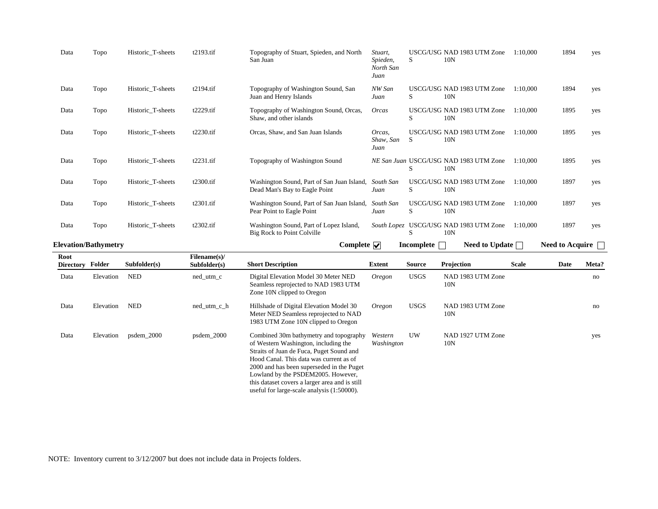|      | <b>Elevation/Bathymetry</b> |                   |           | Complete $ \nabla $                                                         |                                          | <b>Incomplete</b> |                                               | <b>Need to Update</b> |          | Need to Acquire |     |
|------|-----------------------------|-------------------|-----------|-----------------------------------------------------------------------------|------------------------------------------|-------------------|-----------------------------------------------|-----------------------|----------|-----------------|-----|
| Data | Topo                        | Historic_T-sheets | t2302.tif | Washington Sound, Part of Lopez Island,<br>Big Rock to Point Colville       |                                          | S                 | South Lopez USCG/USG NAD 1983 UTM Zone<br>10N |                       | 1:10.000 | 1897            | yes |
| Data | Topo                        | Historic_T-sheets | t2301.tif | Washington Sound, Part of San Juan Island,<br>Pear Point to Eagle Point     | South San<br>Juan                        | S                 | USCG/USG NAD 1983 UTM Zone<br>10N             |                       | 1:10,000 | 1897            | yes |
| Data | Topo                        | Historic_T-sheets | t2300.tif | Washington Sound, Part of San Juan Island,<br>Dead Man's Bay to Eagle Point | South San<br>Juan                        | S                 | USCG/USG NAD 1983 UTM Zone<br>10N             |                       | 1:10.000 | 1897            | yes |
| Data | Topo                        | Historic_T-sheets | t2231.tif | Topography of Washington Sound                                              |                                          | S                 | NE San Juan USCG/USG NAD 1983 UTM Zone<br>10N |                       | 1:10,000 | 1895            | yes |
| Data | Topo                        | Historic_T-sheets | t2230.tif | Orcas, Shaw, and San Juan Islands                                           | Orcas,<br>Shaw, San<br>Juan              | S                 | USCG/USG NAD 1983 UTM Zone<br>10N             |                       | 1:10.000 | 1895            | yes |
| Data | Topo                        | Historic_T-sheets | t2229.tif | Topography of Washington Sound, Orcas,<br>Shaw, and other islands           | <b>Orcas</b>                             | S                 | USCG/USG NAD 1983 UTM Zone<br>10N             |                       | 1:10,000 | 1895            | yes |
| Data | Topo                        | Historic T-sheets | t2194.tif | Topography of Washington Sound, San<br>Juan and Henry Islands               | NW San<br>Juan                           | S                 | USCG/USG NAD 1983 UTM Zone<br>10N             |                       | 1:10.000 | 1894            | yes |
| Data | Topo                        | Historic_T-sheets | t2193.tif | Topography of Stuart, Spieden, and North<br>San Juan                        | Stuart.<br>Spieden,<br>North San<br>Juan | S                 | USCG/USG NAD 1983 UTM Zone<br>10N             |                       | 1:10.000 | 1894            | yes |

| Root<br><b>Directory</b> | Folder    | Subfolder(s) | Filename(s)/<br>Subfolder(s) | <b>Short Description</b>                                                                                                                                                                                                                                                                                                                                 | Extent                | Source      | Projection               | <b>Scale</b> | Date | Meta? |
|--------------------------|-----------|--------------|------------------------------|----------------------------------------------------------------------------------------------------------------------------------------------------------------------------------------------------------------------------------------------------------------------------------------------------------------------------------------------------------|-----------------------|-------------|--------------------------|--------------|------|-------|
| Data                     | Elevation | <b>NED</b>   | $ned\_utm_c$                 | Digital Elevation Model 30 Meter NED<br>Seamless reprojected to NAD 1983 UTM<br>Zone 10N clipped to Oregon                                                                                                                                                                                                                                               | Oregon                | <b>USGS</b> | NAD 1983 UTM Zone<br>10N |              |      | no    |
| Data                     | Elevation | <b>NED</b>   | $ned\_utm_c_h$               | Hillshade of Digital Elevation Model 30<br>Meter NED Seamless reprojected to NAD<br>1983 UTM Zone 10N clipped to Oregon                                                                                                                                                                                                                                  | Oregon                | <b>USGS</b> | NAD 1983 UTM Zone<br>10N |              |      | no    |
| Data                     | Elevation | $psdem_2000$ | $psdem_2000$                 | Combined 30m bathymetry and topography<br>of Western Washington, including the<br>Straits of Juan de Fuca, Puget Sound and<br>Hood Canal. This data was current as of<br>2000 and has been superseded in the Puget<br>Lowland by the PSDEM2005. However,<br>this dataset covers a larger area and is still<br>useful for large-scale analysis (1:50000). | Western<br>Washington | UW          | NAD 1927 UTM Zone<br>10N |              |      | yes   |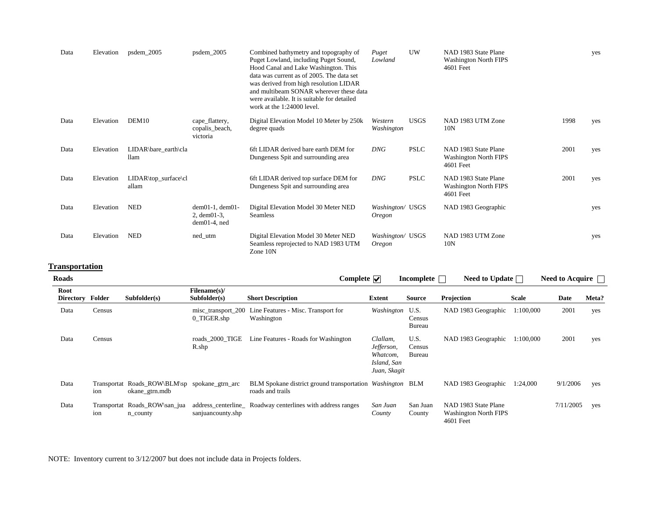| Data | Elevation | psdem_2005                            | psdem_2005                                              | Combined bathymetry and topography of<br>Puget Lowland, including Puget Sound,<br>Hood Canal and Lake Washington. This<br>data was current as of 2005. The data set<br>was derived from high resolution LIDAR<br>and multibeam SONAR wherever these data<br>were available. It is suitable for detailed<br>work at the 1:24000 level. | Puget<br>Lowland                  | <b>UW</b>   | NAD 1983 State Plane<br><b>Washington North FIPS</b><br>4601 Feet |      | yes |
|------|-----------|---------------------------------------|---------------------------------------------------------|---------------------------------------------------------------------------------------------------------------------------------------------------------------------------------------------------------------------------------------------------------------------------------------------------------------------------------------|-----------------------------------|-------------|-------------------------------------------------------------------|------|-----|
| Data | Elevation | DEM10                                 | cape_flattery,<br>copalis_beach,<br>victoria            | Digital Elevation Model 10 Meter by 250k<br>degree quads                                                                                                                                                                                                                                                                              | Western<br>Washington             | <b>USGS</b> | NAD 1983 UTM Zone<br>10N                                          | 1998 | yes |
| Data | Elevation | LIDAR\bare_earth\cla<br><b>llam</b>   |                                                         | 6ft LIDAR derived bare earth DEM for<br>Dungeness Spit and surrounding area                                                                                                                                                                                                                                                           | <b>DNG</b>                        | <b>PSLC</b> | NAD 1983 State Plane<br><b>Washington North FIPS</b><br>4601 Feet | 2001 | yes |
| Data | Elevation | $LIDAR\top_surface\clap{\c}$<br>allam |                                                         | 6ft LIDAR derived top surface DEM for<br>Dungeness Spit and surrounding area                                                                                                                                                                                                                                                          | DNG                               | <b>PSLC</b> | NAD 1983 State Plane<br><b>Washington North FIPS</b><br>4601 Feet | 2001 | yes |
| Data | Elevation | <b>NED</b>                            | $dem01-1, dem01-$<br>2, dem $01-3$ ,<br>$dem01-4$ , ned | Digital Elevation Model 30 Meter NED<br><b>Seamless</b>                                                                                                                                                                                                                                                                               | Washington/ USGS<br><i>Oregon</i> |             | NAD 1983 Geographic                                               |      | yes |
| Data | Elevation | <b>NED</b>                            | ned_utm                                                 | Digital Elevation Model 30 Meter NED<br>Seamless reprojected to NAD 1983 UTM<br>Zone 10N                                                                                                                                                                                                                                              | Washington/ USGS<br><i>Oregon</i> |             | NAD 1983 UTM Zone<br>10N                                          |      | yes |

# **Transportation**

| <b>Roads</b>             |        |                                                                 |                                   | Complete $\overline{\mathbf{v}}$                                              |                                                                   | Incomplete               | Need to Update $\square$                                          |              | <b>Need to Acquire</b> |       |
|--------------------------|--------|-----------------------------------------------------------------|-----------------------------------|-------------------------------------------------------------------------------|-------------------------------------------------------------------|--------------------------|-------------------------------------------------------------------|--------------|------------------------|-------|
| Root<br><b>Directory</b> | Folder | Subfolder(s)                                                    | Filename(s)/<br>Subfolder(s)      | <b>Short Description</b>                                                      | Extent                                                            | <b>Source</b>            | Projection                                                        | <b>Scale</b> | Date                   | Meta? |
| Data                     | Census |                                                                 | misc transport 200<br>0 TIGER.shp | Line Features - Misc. Transport for<br>Washington                             | Washington U.S.                                                   | Census<br>Bureau         | NAD 1983 Geographic                                               | 1:100,000    | 2001                   | yes   |
| Data                     | Census |                                                                 | roads 2000 TIGE<br>R.shp          | Line Features - Roads for Washington                                          | Clallam,<br>Jefferson,<br>Whatcom,<br>Island, San<br>Juan, Skagit | U.S.<br>Census<br>Bureau | NAD 1983 Geographic                                               | 1:100,000    | 2001                   | yes   |
| Data                     | ion    | Transportat Roads_ROW\BLM\sp spokane_gtrn_arc<br>okane_gtrn.mdb |                                   | BLM Spokane district ground transportation Washington BLM<br>roads and trails |                                                                   |                          | NAD 1983 Geographic                                               | 1:24,000     | 9/1/2006               | yes   |
| Data                     | ion    | Transportat Roads_ROW\san_jua<br>n_county                       | sanjuancounty.shp                 | address_centerline_Roadway centerlines with address ranges                    | San Juan<br>County                                                | San Juan<br>County       | NAD 1983 State Plane<br><b>Washington North FIPS</b><br>4601 Feet |              | 7/11/2005              | yes   |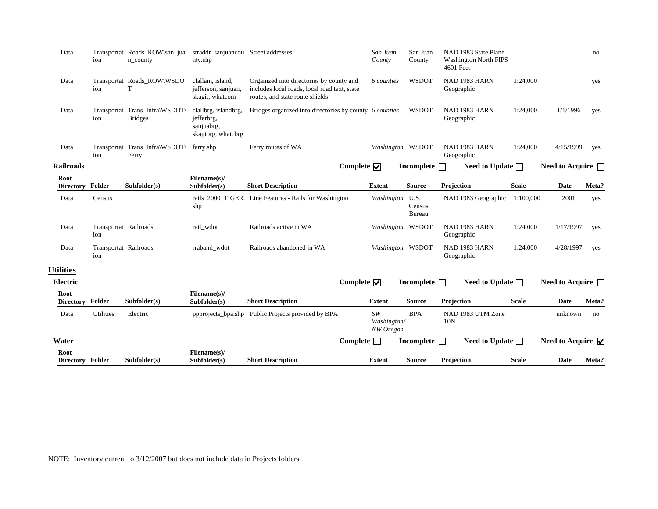| Root<br><b>Directory Folder</b> |                              | Subfolder(s)                                     | Filename(s)/<br>Subfolder(s)                               | <b>Short Description</b>                                                                                                    | <b>Extent</b>                  | Source                          | Projection                                                        | <b>Scale</b> | Date                                    | Meta? |
|---------------------------------|------------------------------|--------------------------------------------------|------------------------------------------------------------|-----------------------------------------------------------------------------------------------------------------------------|--------------------------------|---------------------------------|-------------------------------------------------------------------|--------------|-----------------------------------------|-------|
| Water                           |                              |                                                  |                                                            | $Complete\ \blacksquare$                                                                                                    |                                | Incomplete n                    | Need to Update $\Box$                                             |              | Need to Acquire $\overline{\mathbf{v}}$ |       |
| Data                            | <b>Utilities</b>             | Electric                                         |                                                            | ppprojects bpa.shp Public Projects provided by BPA                                                                          | SW<br>Washington/<br>NW Oregon | <b>BPA</b>                      | NAD 1983 UTM Zone<br>10N                                          |              | unknown                                 | no    |
| Root<br><b>Directory</b>        | Folder                       | Subfolder(s)                                     | Filename(s)/<br>Subfolder(s)                               | <b>Short Description</b>                                                                                                    | <b>Extent</b>                  | <b>Source</b>                   | Projection                                                        | <b>Scale</b> | Date                                    | Meta? |
| Electric                        |                              |                                                  |                                                            | Complete $\overline{\mathbf{v}}$                                                                                            |                                | Incomplete $\Box$               | Need to Update $\Box$                                             |              | Need to Acquire $\Box$                  |       |
| <b>Utilities</b>                |                              |                                                  |                                                            |                                                                                                                             |                                |                                 |                                                                   |              |                                         |       |
| Data                            | Transportat Railroads<br>ion |                                                  | rraband_wdot                                               | Railroads abandoned in WA                                                                                                   | Washington WSDOT               |                                 | NAD 1983 HARN<br>Geographic                                       | 1:24,000     | 4/28/1997                               | yes   |
| Data                            | Transportat Railroads<br>ion |                                                  | rail_wdot                                                  | Railroads active in WA                                                                                                      | Washington WSDOT               |                                 | NAD 1983 HARN<br>Geographic                                       | 1:24,000     | 1/17/1997                               | yes   |
| Data                            | Census                       |                                                  | shp                                                        | rails_2000_TIGER. Line Features - Rails for Washington                                                                      | Washington                     | U.S.<br>Census<br><b>Bureau</b> | NAD 1983 Geographic                                               | 1:100,000    | 2001                                    | yes   |
| Directory Folder                |                              | Subfolder(s)                                     | Subfolder(s)                                               | <b>Short Description</b>                                                                                                    | <b>Extent</b>                  | <b>Source</b>                   | Projection                                                        | <b>Scale</b> | <b>Date</b>                             | Meta? |
| <b>Railroads</b><br>Root        |                              |                                                  | Filename(s)/                                               | Complete $\overline{\mathbf{v}}$                                                                                            |                                | Incomplete $\Box$               | Need to Update $\Box$                                             |              | <b>Need to Acquire</b>                  |       |
|                                 | ion                          | Ferry                                            |                                                            |                                                                                                                             |                                |                                 | Geographic                                                        |              |                                         |       |
| Data                            |                              | Transportat Trans_Infra\WSDOT\                   | skagibrg, whatcbrg<br>ferry.shp                            | Ferry routes of WA                                                                                                          | Washington WSDOT               |                                 | NAD 1983 HARN                                                     | 1:24,000     | 4/15/1999                               | yes   |
| Data                            | ion                          | Transportat Trans_Infra\WSDOT\<br><b>Bridges</b> | clallbrg, islandbrg,<br>jefferbrg,<br>sanjuabrg,           | Bridges organized into directories by county 6 counties                                                                     |                                | <b>WSDOT</b>                    | NAD 1983 HARN<br>Geographic                                       | 1:24,000     | 1/1/1996                                | yes   |
| Data                            | ion                          | Transportat Roads_ROW\WSDO<br>т                  | clallam, island,<br>jefferson, sanjuan,<br>skagit, whatcom | Organized into directories by county and<br>includes local roads, local road text, state<br>routes, and state route shields | 6 counties                     | <b>WSDOT</b>                    | NAD 1983 HARN<br>Geographic                                       | 1:24,000     |                                         | yes   |
| Data                            | ion                          | Transportat Roads_ROW\san_jua<br>n_county        | straddr_sanjuancou Street addresses<br>nty.shp             |                                                                                                                             | San Juan<br>County             | San Juan<br>County              | NAD 1983 State Plane<br><b>Washington North FIPS</b><br>4601 Feet |              |                                         | no    |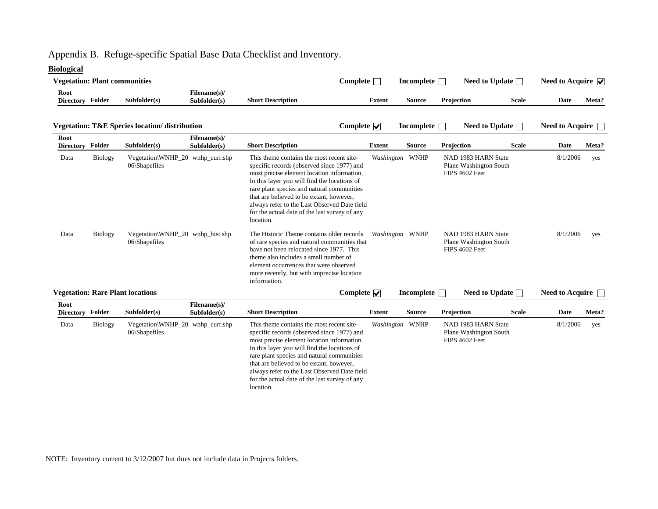# Appendix B. Refuge-specific Spatial Base Data Checklist and Inventory.

# **Biological**

| <b>Vegetation: Plant communities</b> |                |                                                           |                              | $Complete \fbox{}$                                                                                                                                                                                                                                                                                                                                                                            |               | Incomplete        |                                                                 | Need to Update $\Box$ | Need to Acquire $\overline{\mathbf{v}}$ |       |
|--------------------------------------|----------------|-----------------------------------------------------------|------------------------------|-----------------------------------------------------------------------------------------------------------------------------------------------------------------------------------------------------------------------------------------------------------------------------------------------------------------------------------------------------------------------------------------------|---------------|-------------------|-----------------------------------------------------------------|-----------------------|-----------------------------------------|-------|
| Root<br>Directory Folder             |                | Subfolder(s)                                              | Filename(s)/<br>Subfolder(s) | <b>Short Description</b>                                                                                                                                                                                                                                                                                                                                                                      | <b>Extent</b> | <b>Source</b>     | Projection                                                      | <b>Scale</b>          | <b>Date</b>                             | Meta? |
|                                      |                | <b>Vegetation: T&amp;E Species location/ distribution</b> |                              | Complete $\overline{\mathbf{v}}$                                                                                                                                                                                                                                                                                                                                                              |               | <b>Incomplete</b> |                                                                 | Need to Update $\Box$ | Need to Acquire $\Box$                  |       |
| Root<br><b>Directory</b>             | Folder         | Subfolder(s)                                              | Filename(s)/<br>Subfolder(s) | <b>Short Description</b>                                                                                                                                                                                                                                                                                                                                                                      | <b>Extent</b> | <b>Source</b>     | Projection                                                      | <b>Scale</b>          | <b>Date</b>                             | Meta? |
| Data                                 | <b>Biology</b> | Vegetation\WNHP_20 wnhp_curr.shp<br>06\Shapefiles         |                              | This theme contains the most recent site-<br>specific records (observed since 1977) and<br>most precise element location information.<br>In this layer you will find the locations of<br>rare plant species and natural communities<br>that are believed to be extant, however,<br>always refer to the Last Observed Date field<br>for the actual date of the last survey of any<br>location. |               | Washington WNHP   | NAD 1983 HARN State<br>Plane Washington South<br>FIPS 4602 Feet |                       | 8/1/2006                                | yes   |
| Data                                 | <b>Biology</b> | Vegetation\WNHP_20 wnhp_hist.shp<br>06\Shapefiles         |                              | The Historic Theme contains older records<br>of rare species and natural communities that<br>have not been relocated since 1977. This<br>theme also includes a small number of<br>element occurrences that were observed<br>more recently, but with imprecise location<br>information.                                                                                                        |               | Washington WNHP   | NAD 1983 HARN State<br>Plane Washington South<br>FIPS 4602 Feet |                       | 8/1/2006                                | yes   |
|                                      |                | <b>Vegetation: Rare Plant locations</b>                   |                              | Complete $\overline{\mathbf{v}}$                                                                                                                                                                                                                                                                                                                                                              |               | Incomplete        |                                                                 | Need to Update $\Box$ | <b>Need to Acquire</b>                  |       |
| Root<br>Directory Folder             |                | Subfolder(s)                                              | Filename(s)/<br>Subfolder(s) | <b>Short Description</b>                                                                                                                                                                                                                                                                                                                                                                      | <b>Extent</b> | <b>Source</b>     | Projection                                                      | <b>Scale</b>          | <b>Date</b>                             | Meta? |
| Data                                 | <b>Biology</b> | Vegetation\WNHP_20 wnhp_curr.shp<br>06\Shapefiles         |                              | This theme contains the most recent site-<br>specific records (observed since 1977) and<br>most precise element location information.<br>In this layer you will find the locations of<br>rare plant species and natural communities<br>that are believed to be extant, however,<br>always refer to the Last Observed Date field<br>for the actual date of the last survey of any<br>location. |               | Washington WNHP   | NAD 1983 HARN State<br>Plane Washington South<br>FIPS 4602 Feet |                       | 8/1/2006                                | yes   |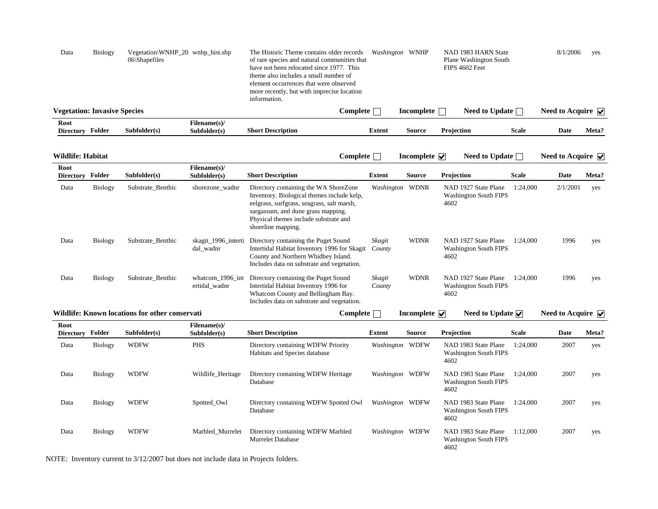| Data                                | <b>Biology</b> | $06\$ Shapefiles | Vegetation\WNHP_20 wnhp_hist.shp | The Historic Theme contains older records<br>of rare species and natural communities that<br>have not been relocated since 1977. This<br>theme also includes a small number of<br>element occurrences that were observed<br>more recently, but with imprecise location<br>information. |            | <i>Washington</i> WNHP | NAD 1983 HARN State<br>Plane Washington South<br>FIPS 4602 Feet |              | 8/1/2006                   | ves   |
|-------------------------------------|----------------|------------------|----------------------------------|----------------------------------------------------------------------------------------------------------------------------------------------------------------------------------------------------------------------------------------------------------------------------------------|------------|------------------------|-----------------------------------------------------------------|--------------|----------------------------|-------|
| <b>Vegetation: Invasive Species</b> |                |                  |                                  |                                                                                                                                                                                                                                                                                        | Complete [ | Incomplete             | <b>Need to Update</b>                                           |              | Need to Acquire $\sqrt{ }$ |       |
| Root<br><b>Directory</b>            | Folder         | Subfolder(s)     | Filename(s)/<br>Subfolder(s)     | <b>Short Description</b>                                                                                                                                                                                                                                                               | Extent     | <b>Source</b>          | <b>Projection</b>                                               | <b>Scale</b> | Date                       | Meta? |

| Wildlife: Habitat        |                |                                                |                                   | Complete                                                                                                                                                                                                                               |                  | Incomplete $\overline{\mathbf{v}}$     | Need to Update $\Box$                                        |              | Need to Acquire $\triangledown$          |       |
|--------------------------|----------------|------------------------------------------------|-----------------------------------|----------------------------------------------------------------------------------------------------------------------------------------------------------------------------------------------------------------------------------------|------------------|----------------------------------------|--------------------------------------------------------------|--------------|------------------------------------------|-------|
| Root<br><b>Directory</b> | Folder         | Subfolder(s)                                   | Filename(s)/<br>Subfolder(s)      | <b>Short Description</b>                                                                                                                                                                                                               | <b>Extent</b>    | <b>Source</b>                          | Projection                                                   | <b>Scale</b> | Date                                     | Meta? |
| Data                     | <b>Biology</b> | Substrate Benthic                              | shorezone_wadnr                   | Directory containing the WA ShoreZone<br>Inventory. Biological themes include kelp,<br>eelgrass, surfgrass, seagrass, salt marsh,<br>sargassum, and dune grass mapping.<br>Physical themes include substrate and<br>shoreline mapping. |                  | Washington WDNR                        | NAD 1927 State Plane<br><b>Washington South FIPS</b><br>4602 | 1:24.000     | 2/1/2001                                 | yes   |
| Data                     | Biology        | Substrate Benthic                              | skagit_1996_interti<br>dal_wadnr  | Directory containing the Puget Sound<br>Intertidal Habitat Inventory 1996 for Skagit<br>County and Northern Whidbey Island.<br>Includes data on substrate and vegetation.                                                              | Skagit<br>County | <b>WDNR</b>                            | NAD 1927 State Plane<br><b>Washington South FIPS</b><br>4602 | 1:24,000     | 1996                                     | yes   |
| Data                     | <b>Biology</b> | Substrate Benthic                              | whatcom 1996 int<br>ertidal_wadnr | Directory containing the Puget Sound<br>Intertidal Habitat Inventory 1996 for<br>Whatcom County and Bellingham Bay.<br>Includes data on substrate and vegetation.                                                                      | Skagit<br>County | <b>WDNR</b>                            | NAD 1927 State Plane<br><b>Washington South FIPS</b><br>4602 | 1:24,000     | 1996                                     | yes   |
|                          |                | Wildlife: Known locations for other conservati |                                   | Complete                                                                                                                                                                                                                               |                  | Incomplete $\vert \triangledown \vert$ | Need to Update $\overline{\mathbf{v}}$                       |              | Need to Acquire $\vert \mathbf{v} \vert$ |       |

| Root<br><b>Directory</b> | Folder         | Subfolder(s) | Filename(s)/<br>Subfolder(s) | <b>Short Description</b>                                            | <b>Extent</b>   | <b>Source</b> | Projection                                                   | <b>Scale</b> | Date | Meta? |
|--------------------------|----------------|--------------|------------------------------|---------------------------------------------------------------------|-----------------|---------------|--------------------------------------------------------------|--------------|------|-------|
| Data                     | <b>Biology</b> | <b>WDFW</b>  | <b>PHS</b>                   | Directory containing WDFW Priority<br>Habitats and Species database | Washington WDFW |               | NAD 1983 State Plane<br><b>Washington South FIPS</b><br>4602 | 1:24.000     | 2007 | yes   |
| Data                     | <b>Biology</b> | <b>WDFW</b>  | Wildlife Heritage            | Directory containing WDFW Heritage<br>Database                      | Washington WDFW |               | NAD 1983 State Plane<br><b>Washington South FIPS</b><br>4602 | 1:24.000     | 2007 | yes   |
| Data                     | <b>Biology</b> | <b>WDFW</b>  | Spotted Owl                  | Directory containing WDFW Spotted Owl<br>Database                   | Washington WDFW |               | NAD 1983 State Plane<br><b>Washington South FIPS</b><br>4602 | 1:24.000     | 2007 | yes   |
| Data                     | <b>Biology</b> | <b>WDFW</b>  | Marbled Murrelet             | Directory containing WDFW Marbled<br><b>Murrelet Database</b>       | Washington WDFW |               | NAD 1983 State Plane<br><b>Washington South FIPS</b><br>4602 | 1:12.000     | 2007 | yes   |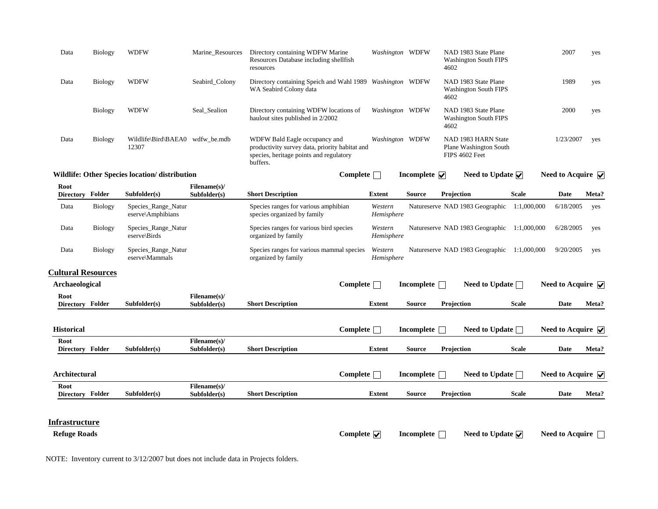| Data | Biology        | <b>WDFW</b>                  | Marine Resources | Directory containing WDFW Marine<br>Resources Database including shellfish<br>resources                                                | Washington WDFW | NAD 1983 State Plane<br><b>Washington South FIPS</b><br>4602    | 2007      | yes |
|------|----------------|------------------------------|------------------|----------------------------------------------------------------------------------------------------------------------------------------|-----------------|-----------------------------------------------------------------|-----------|-----|
| Data | Biology        | <b>WDFW</b>                  | Seabird Colony   | Directory containing Speich and Wahl 1989 Washington WDFW<br>WA Seabird Colony data                                                    |                 | NAD 1983 State Plane<br><b>Washington South FIPS</b><br>4602    | 1989      | yes |
|      | Biology        | <b>WDFW</b>                  | Seal Sealion     | Directory containing WDFW locations of<br>haulout sites published in 2/2002                                                            | Washington WDFW | NAD 1983 State Plane<br><b>Washington South FIPS</b><br>4602    | 2000      | yes |
| Data | <b>Biology</b> | Wildlife\Bird\BAEA0<br>12307 | wdfw be.mdb      | WDFW Bald Eagle occupancy and<br>productivity survey data, priority habitat and<br>species, heritage points and regulatory<br>buffers. | Washington WDFW | NAD 1983 HARN State<br>Plane Washington South<br>FIPS 4602 Feet | 1/23/2007 | yes |

**Wildlife: Other Species location/ distribution Complete Incomplete Incomplete Need to Update Need to Acquire Need to Acquire** 

| Root<br><b>Directory</b> | Folder  | Subfolder(s)                               | Filename(s)/<br>Subfolder(s) | <b>Short Description</b>                                            | <b>Extent</b>         | <b>Source</b> | <b>Projection</b>                           | <b>Scale</b> | Date      | Meta? |
|--------------------------|---------|--------------------------------------------|------------------------------|---------------------------------------------------------------------|-----------------------|---------------|---------------------------------------------|--------------|-----------|-------|
| Data                     | Biology | Species_Range_Natur<br>eserve\Amphibians   |                              | Species ranges for various amphibian<br>species organized by family | Western<br>Hemisphere |               | Natureserve NAD 1983 Geographic             | 1:1.000.000  | 6/18/2005 | ves   |
| Data                     | Biology | Species_Range_Natur<br>$eserve\cdot Birds$ |                              | Species ranges for various bird species<br>organized by family      | Western<br>Hemisphere |               | Natureserve NAD 1983 Geographic 1:1,000,000 |              | 6/28/2005 | ves   |
| Data                     | Biology | Species_Range_Natur<br>eserve\Mammals      |                              | Species ranges for various mammal species<br>organized by family    | Western<br>Hemisphere |               | Natureserve NAD 1983 Geographic             | 1:1.000.000  | 9/20/2005 | ves   |

#### **Cultural Resources**

|              |                              |                          | Complete      |               |            |                                        |                                                                  |                                                                                                                                                                                                                                            |
|--------------|------------------------------|--------------------------|---------------|---------------|------------|----------------------------------------|------------------------------------------------------------------|--------------------------------------------------------------------------------------------------------------------------------------------------------------------------------------------------------------------------------------------|
| Subfolder(s) | Filename(s)/<br>Subfolder(s) | <b>Short Description</b> | <b>Extent</b> | <b>Source</b> | Projection | <b>Scale</b>                           | Date                                                             | Meta?                                                                                                                                                                                                                                      |
|              |                              |                          | Complete      |               |            |                                        |                                                                  |                                                                                                                                                                                                                                            |
| Subfolder(s) | Filename(s)/<br>Subfolder(s) | <b>Short Description</b> | <b>Extent</b> | <b>Source</b> | Projection | <b>Scale</b>                           | <b>Date</b>                                                      | Meta?                                                                                                                                                                                                                                      |
|              |                              |                          | Complete      |               |            |                                        |                                                                  |                                                                                                                                                                                                                                            |
|              | Filename(s)/                 |                          |               |               |            |                                        |                                                                  | Meta?                                                                                                                                                                                                                                      |
|              |                              |                          |               |               |            | Incomplete<br>Incomplete<br>Incomplete | <b>Need to Update</b><br>Need to Update<br><b>Need to Update</b> | Need to Acquire $\triangledown$<br>Need to Acquire $\triangledown$<br>Need to Acquire $\overline{\mathbf{v}}$<br><b>Source</b><br>Scale<br>Subfolder(s)<br><b>Extent</b><br>Projection<br>Date<br><b>Short Description</b><br>Subfolder(s) |

#### **Infrastructure**

**Refuge Roads Complete Incomplete Need to Update Need to Acquire**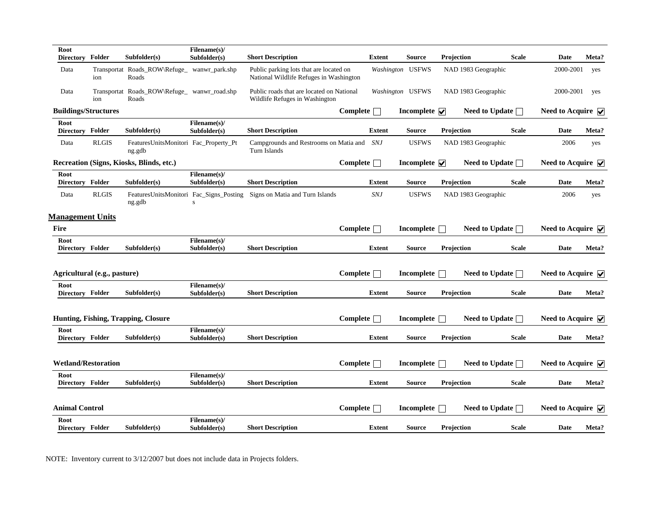| Root<br><b>Directory</b>    | Folder                       | Subfolder(s)                                          | Filename(s)/<br>Subfolder(s) | <b>Short Description</b>                                                           |                   | <b>Extent</b> | <b>Source</b>                      | Projection        |                       | <b>Scale</b> | <b>Date</b>                             | Meta? |
|-----------------------------|------------------------------|-------------------------------------------------------|------------------------------|------------------------------------------------------------------------------------|-------------------|---------------|------------------------------------|-------------------|-----------------------|--------------|-----------------------------------------|-------|
| Data                        | ion                          | Transportat Roads_ROW\Refuge_ wanwr_park.shp<br>Roads |                              | Public parking lots that are located on<br>National Wildlife Refuges in Washington |                   |               | Washington USFWS                   |                   | NAD 1983 Geographic   |              | 2000-2001                               | yes   |
| Data                        | ion                          | Transportat Roads_ROW\Refuge_ wanwr_road.shp<br>Roads |                              | Public roads that are located on National<br>Wildlife Refuges in Washington        |                   |               | Washington USFWS                   |                   | NAD 1983 Geographic   |              | 2000-2001                               | yes   |
| <b>Buildings/Structures</b> |                              |                                                       |                              |                                                                                    | Complete $\Box$   |               | Incomplete $\overline{\mathbf{v}}$ |                   | Need to Update $\Box$ |              | Need to Acquire $\triangledown$         |       |
| Root<br>Directory Folder    |                              | Subfolder(s)                                          | Filename(s)/<br>Subfolder(s) | <b>Short Description</b>                                                           |                   | <b>Extent</b> | <b>Source</b>                      | Projection        |                       | <b>Scale</b> | <b>Date</b>                             | Meta? |
| Data                        | <b>RLGIS</b>                 | FeaturesUnitsMonitori Fac_Property_Pt<br>ng.gdb       |                              | Campgrounds and Restrooms on Matia and SNJ<br>Turn Islands                         |                   |               | <b>USFWS</b>                       |                   | NAD 1983 Geographic   |              | 2006                                    | yes   |
|                             |                              | Recreation (Signs, Kiosks, Blinds, etc.)              |                              |                                                                                    | Complete $\Box$   |               | Incomplete $\overline{\mathbf{v}}$ |                   | Need to Update $\Box$ |              | Need to Acquire $ \mathbf{v} $          |       |
| Root<br>Directory Folder    |                              | Subfolder(s)                                          | Filename(s)/<br>Subfolder(s) | <b>Short Description</b>                                                           |                   | <b>Extent</b> | <b>Source</b>                      | Projection        |                       | <b>Scale</b> | <b>Date</b>                             | Meta? |
| Data                        | <b>RLGIS</b>                 | FeaturesUnitsMonitori Fac_Signs_Posting<br>ng.gdb     | s                            | Signs on Matia and Turn Islands                                                    |                   | <b>SNJ</b>    | <b>USFWS</b>                       |                   | NAD 1983 Geographic   |              | 2006                                    | yes   |
| <b>Management Units</b>     |                              |                                                       |                              |                                                                                    |                   |               |                                    |                   |                       |              |                                         |       |
| <b>Fire</b>                 |                              |                                                       |                              |                                                                                    | $Complete \Box$   |               | Incomplete                         |                   | Need to Update $\Box$ |              | Need to Acquire $\triangledown$         |       |
| Root<br>Directory Folder    |                              | Subfolder(s)                                          | Filename(s)/<br>Subfolder(s) | <b>Short Description</b>                                                           |                   | Extent        | <b>Source</b>                      | <b>Projection</b> |                       | <b>Scale</b> | Date                                    | Meta? |
|                             | Agricultural (e.g., pasture) |                                                       |                              |                                                                                    | Complete $\Box$   |               | Incomplete $\Box$                  |                   | Need to Update $\Box$ |              | Need to Acquire $\overline{\mathbf{V}}$ |       |
| Root                        |                              |                                                       | Filename(s)/                 |                                                                                    |                   |               |                                    |                   |                       |              |                                         |       |
| Directory Folder            |                              | Subfolder(s)                                          | Subfolder(s)                 | <b>Short Description</b>                                                           |                   | <b>Extent</b> | <b>Source</b>                      | Projection        |                       | <b>Scale</b> | <b>Date</b>                             | Meta? |
|                             |                              | Hunting, Fishing, Trapping, Closure                   |                              |                                                                                    | Complete $\Box$   |               | <b>Incomplete</b>                  |                   | Need to Update $\Box$ |              | Need to Acquire $\overline{\mathbf{v}}$ |       |
| Root<br>Directory Folder    |                              | Subfolder(s)                                          | Filename(s)/<br>Subfolder(s) | <b>Short Description</b>                                                           |                   | <b>Extent</b> | <b>Source</b>                      | Projection        |                       | <b>Scale</b> | <b>Date</b>                             | Meta? |
| <b>Wetland/Restoration</b>  |                              |                                                       |                              |                                                                                    | $Complete \Box$   |               | Incomplete                         |                   | <b>Need to Update</b> |              | Need to Acquire $\sqrt{\phantom{a}}$    |       |
| Root                        |                              |                                                       | Filename(s)/                 |                                                                                    |                   |               |                                    |                   |                       |              |                                         |       |
| Directory Folder            |                              | Subfolder(s)                                          | Subfolder(s)                 | <b>Short Description</b>                                                           |                   | <b>Extent</b> | <b>Source</b>                      | Projection        |                       | <b>Scale</b> | Date                                    | Meta? |
| <b>Animal Control</b>       |                              |                                                       |                              |                                                                                    | Complete $\lceil$ |               | <b>Incomplete</b>                  |                   | Need to Update $\Box$ |              | Need to Acquire $\triangledown$         |       |
| Root<br>Directory Folder    |                              | Subfolder(s)                                          | Filename(s)/<br>Subfolder(s) | <b>Short Description</b>                                                           |                   | <b>Extent</b> | Source                             | Projection        |                       | <b>Scale</b> | <b>Date</b>                             | Meta? |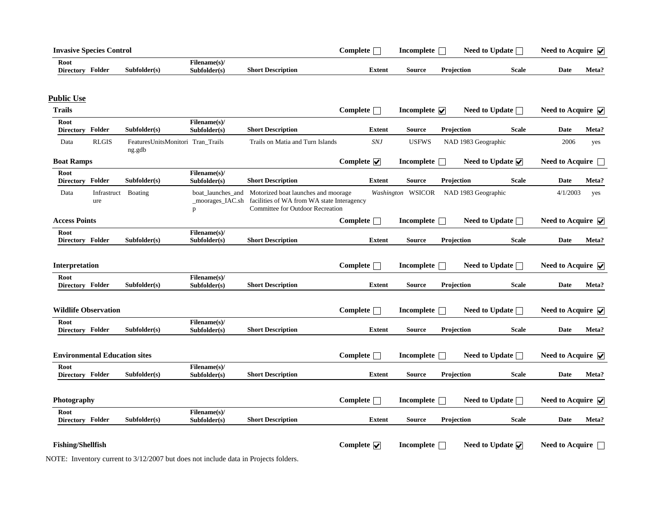| <b>Invasive Species Control</b>           |              |                              |                          | Complete | Incomplete |                   | <b>Need to Update</b> | <b>Need to Acquire</b> |       |
|-------------------------------------------|--------------|------------------------------|--------------------------|----------|------------|-------------------|-----------------------|------------------------|-------|
| Root<br><b>Folder</b><br><b>Directory</b> | Subfolder(s) | Filename(s)/<br>Subfolder(s) | <b>Short Description</b> | Extent   | Source     | <b>Projection</b> | <b>Scale</b>          | Date                   | Meta? |

#### **Public Use**

| <b>Trails</b>                        |                            |                                             |                                            |                                                                                                                       | Complete $\Box$               | Incomplete $\overline{\mathbf{v}}$ |                     | Need to Update $\Box$                  | Need to Acquire $\blacktriangledown$    |       |
|--------------------------------------|----------------------------|---------------------------------------------|--------------------------------------------|-----------------------------------------------------------------------------------------------------------------------|-------------------------------|------------------------------------|---------------------|----------------------------------------|-----------------------------------------|-------|
| Root<br>Directory Folder             |                            | Subfolder(s)                                | Filename(s)/<br>Subfolder(s)               | <b>Short Description</b>                                                                                              | <b>Extent</b>                 | <b>Source</b>                      | Projection          | <b>Scale</b>                           | <b>Date</b>                             | Meta? |
| Data                                 | <b>RLGIS</b>               | FeaturesUnitsMonitori Tran_Trails<br>ng.gdb |                                            | Trails on Matia and Turn Islands                                                                                      | <b>SNJ</b>                    | <b>USFWS</b>                       | NAD 1983 Geographic |                                        | 2006                                    | yes   |
| <b>Boat Ramps</b>                    |                            |                                             |                                            |                                                                                                                       | Complete $\sqrt{\phantom{a}}$ | Incomplete $\Box$                  |                     | Need to Update $\sqrt{\phantom{a}}$    | Need to Acquire $\Box$                  |       |
| Root<br>Directory Folder             |                            | Subfolder(s)                                | Filename(s)/<br>Subfolder(s)               | <b>Short Description</b>                                                                                              | <b>Extent</b>                 | <b>Source</b>                      | Projection          | <b>Scale</b>                           | <b>Date</b>                             | Meta? |
| Data                                 | Infrastruct Boating<br>ure |                                             | boat launches and<br>_moorages_IAC.sh<br>p | Motorized boat launches and moorage<br>facilities of WA from WA state Interagency<br>Committee for Outdoor Recreation |                               | <b>Washington WSICOR</b>           | NAD 1983 Geographic |                                        | 4/1/2003                                | yes   |
| <b>Access Points</b>                 |                            |                                             |                                            |                                                                                                                       | Complete $\Box$               | Incomplete $\Box$                  |                     | Need to Update $\Box$                  | Need to Acquire $\blacktriangledown$    |       |
| Root<br>Directory Folder             |                            | Subfolder(s)                                | Filename(s)/<br>Subfolder(s)               | <b>Short Description</b>                                                                                              | <b>Extent</b>                 | <b>Source</b>                      | Projection          | <b>Scale</b>                           | <b>Date</b>                             | Meta? |
| Interpretation                       |                            |                                             |                                            |                                                                                                                       | Complete $\Box$               | Incomplete $\Box$                  |                     | Need to Update $\Box$                  | Need to Acquire $\overline{\mathbf{v}}$ |       |
| Root<br>Directory Folder             |                            | Subfolder(s)                                | Filename(s)/<br>Subfolder(s)               | <b>Short Description</b>                                                                                              | <b>Extent</b>                 | <b>Source</b>                      | Projection          | <b>Scale</b>                           | <b>Date</b>                             | Meta? |
| <b>Wildlife Observation</b>          |                            |                                             |                                            |                                                                                                                       | Complete $\Box$               | Incomplete $\Box$                  |                     | Need to Update $\Box$                  | Need to Acquire $\overline{\mathbf{v}}$ |       |
| Root<br>Directory Folder             |                            | Subfolder(s)                                | Filename(s)/<br>Subfolder(s)               | <b>Short Description</b>                                                                                              | <b>Extent</b>                 | <b>Source</b>                      | Projection          | <b>Scale</b>                           | <b>Date</b>                             | Meta? |
| <b>Environmental Education sites</b> |                            |                                             |                                            |                                                                                                                       | Complete $\Box$               | Incomplete $\Box$                  |                     | Need to Update $\Box$                  | Need to Acquire $\overline{\mathbf{v}}$ |       |
| Root<br>Directory Folder             |                            | Subfolder(s)                                | Filename(s)/<br>Subfolder(s)               | <b>Short Description</b>                                                                                              | <b>Extent</b>                 | <b>Source</b>                      | Projection          | <b>Scale</b>                           | <b>Date</b>                             | Meta? |
| Photography                          |                            |                                             |                                            |                                                                                                                       | $Complete \Box$               | Incomplete $\Box$                  |                     | Need to Update $\Box$                  | Need to Acquire $\overline{\mathbf{v}}$ |       |
| Root<br>Directory Folder             |                            | Subfolder(s)                                | Filename(s)/<br>Subfolder(s)               | <b>Short Description</b>                                                                                              | <b>Extent</b>                 | <b>Source</b>                      | Projection          | <b>Scale</b>                           | Date                                    | Meta? |
| <b>Fishing/Shellfish</b>             |                            |                                             |                                            |                                                                                                                       | Complete $\nabla$             | Incomplete <b>T</b>                |                     | Need to Update $\overline{\mathbf{v}}$ | Need to Acquire                         |       |